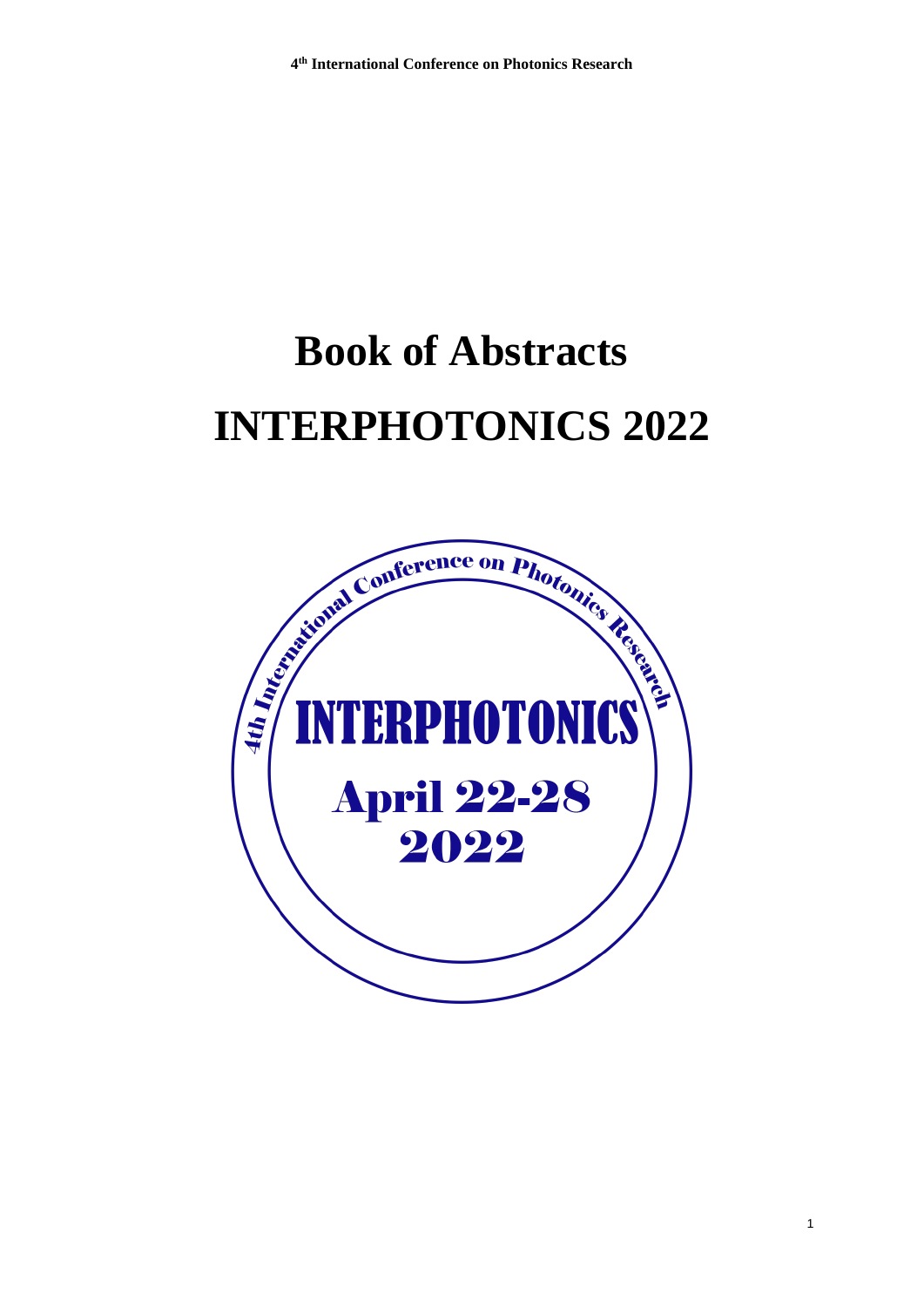# **Book of Abstracts INTERPHOTONICS 2022**

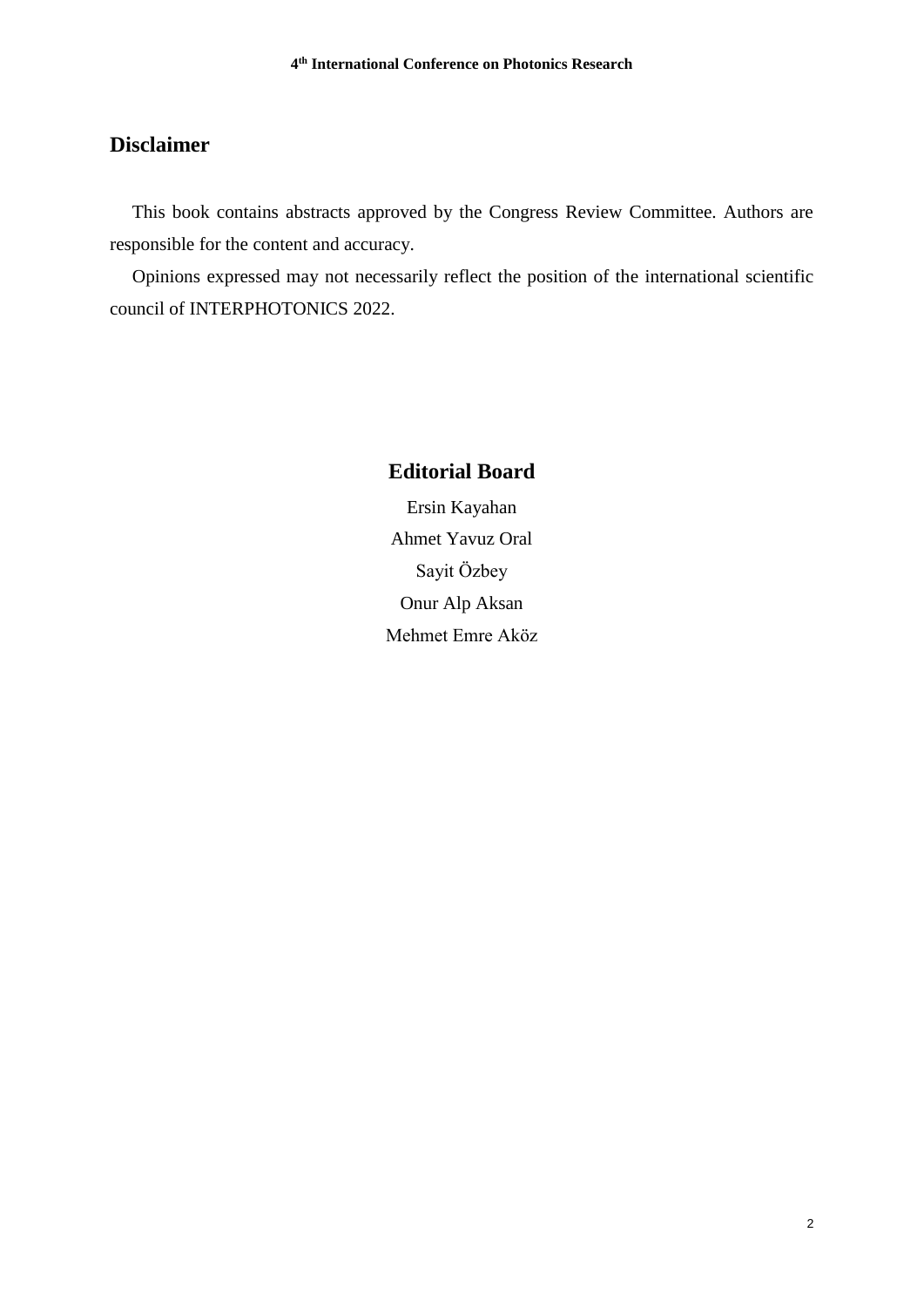## **Disclaimer**

This book contains abstracts approved by the Congress Review Committee. Authors are responsible for the content and accuracy.

Opinions expressed may not necessarily reflect the position of the international scientific council of INTERPHOTONICS 2022.

## **Editorial Board**

Ersin Kayahan Ahmet Yavuz Oral Sayit Özbey Onur Alp Aksan Mehmet Emre Aköz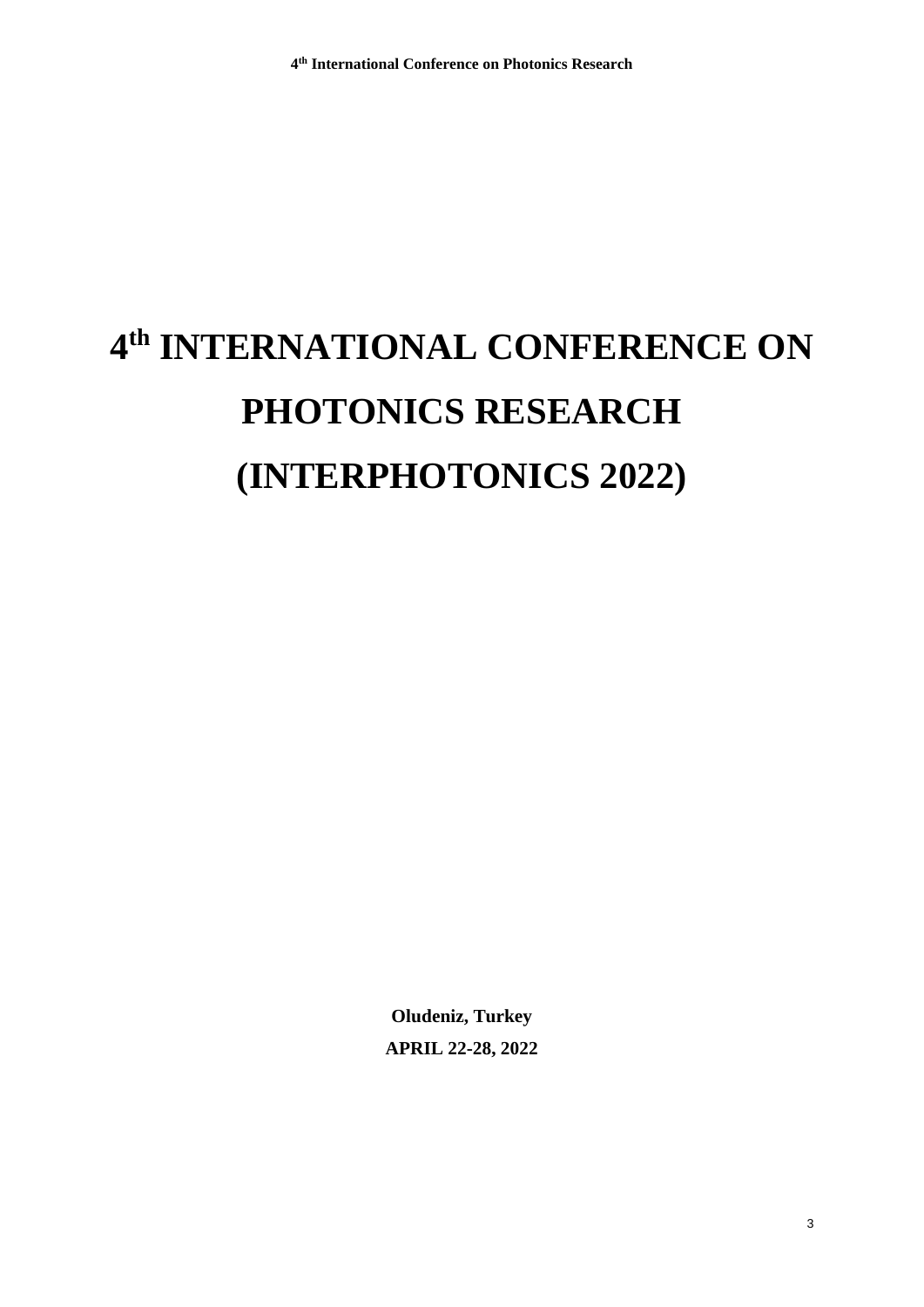# **4 th INTERNATIONAL CONFERENCE ON PHOTONICS RESEARCH (INTERPHOTONICS 2022)**

**Oludeniz, Turkey APRIL 22-28, 2022**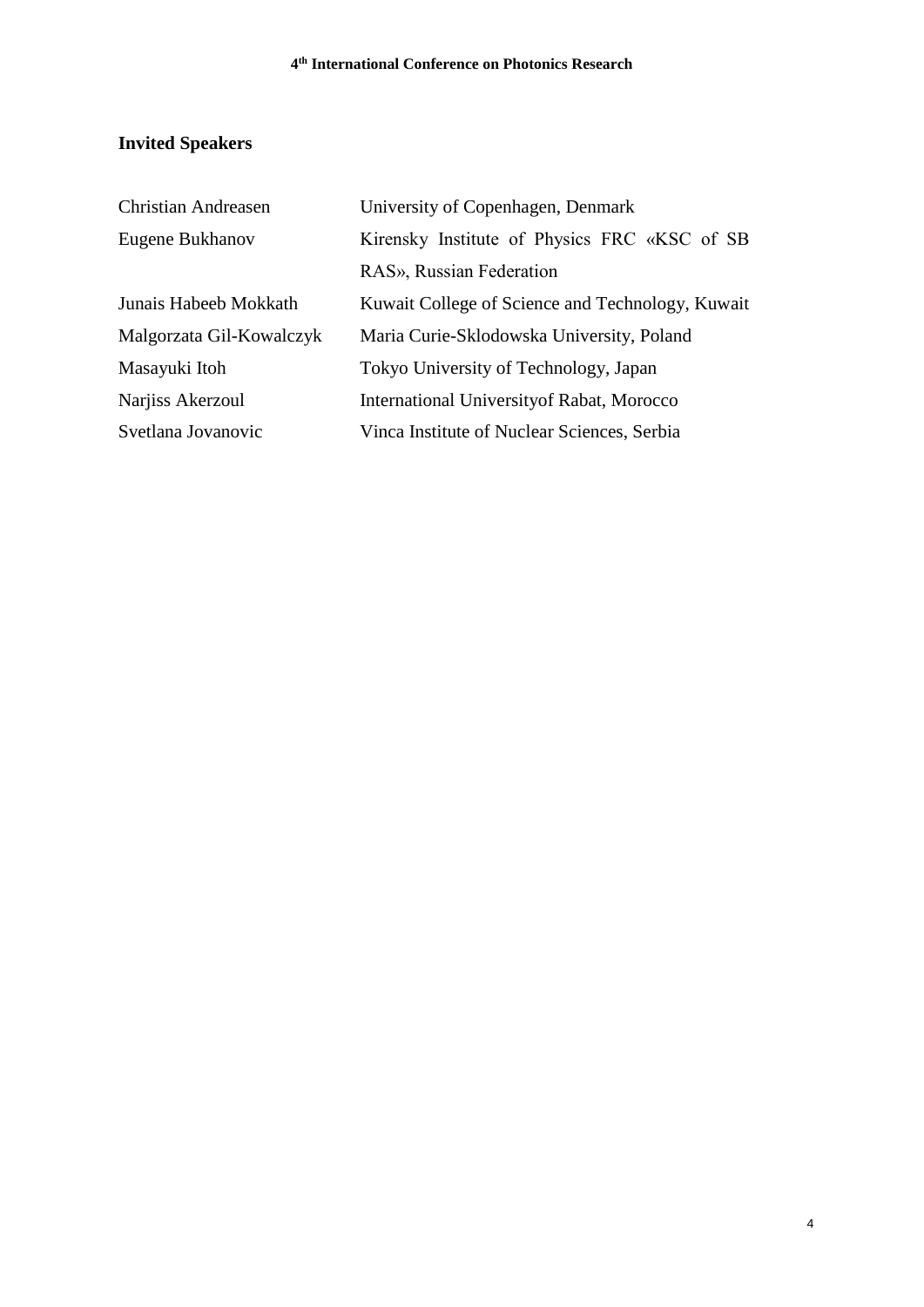# **Invited Speakers**

| <b>Christian Andreasen</b> | University of Copenhagen, Denmark                |
|----------------------------|--------------------------------------------------|
| Eugene Bukhanov            | Kirensky Institute of Physics FRC «KSC of SB     |
|                            | RAS», Russian Federation                         |
| Junais Habeeb Mokkath      | Kuwait College of Science and Technology, Kuwait |
| Malgorzata Gil-Kowalczyk   | Maria Curie-Sklodowska University, Poland        |
| Masayuki Itoh              | Tokyo University of Technology, Japan            |
| Narjiss Akerzoul           | International University of Rabat, Morocco       |
| Svetlana Jovanovic         | Vinca Institute of Nuclear Sciences, Serbia      |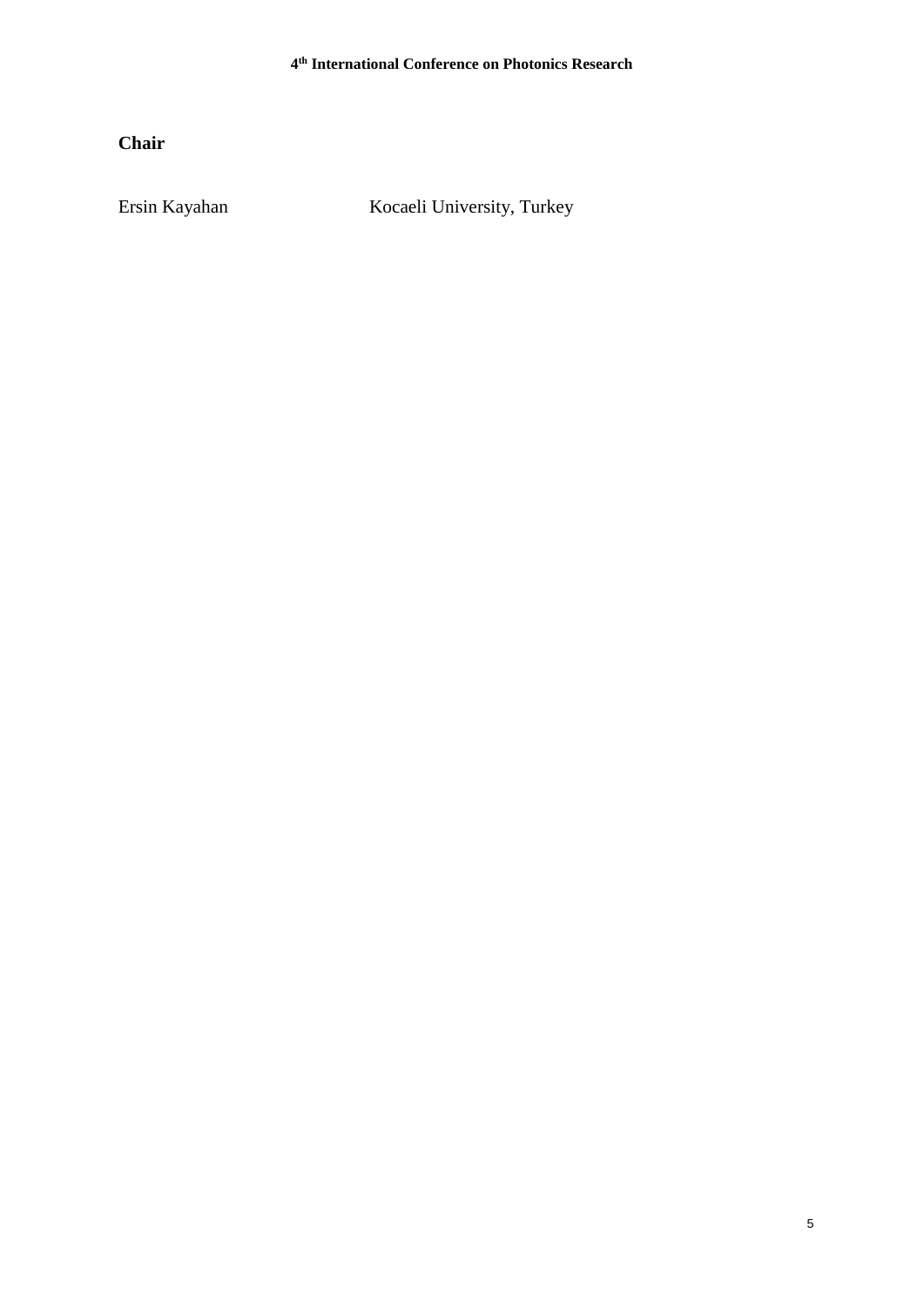**Chair**

Ersin Kayahan Kocaeli University, Turkey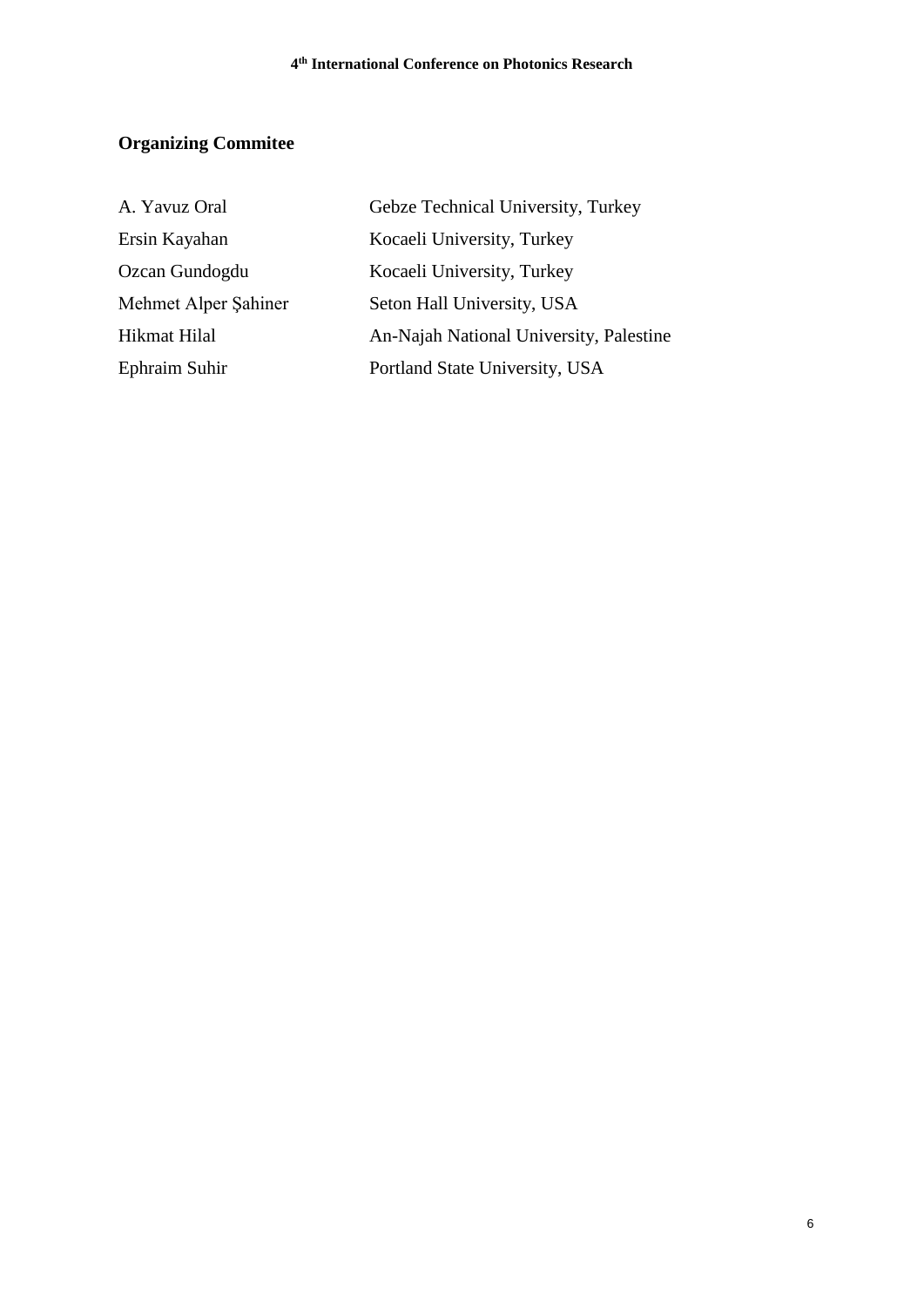# **Organizing Commitee**

| A. Yavuz Oral        | Gebze Technical University, Turkey      |
|----------------------|-----------------------------------------|
| Ersin Kayahan        | Kocaeli University, Turkey              |
| Ozcan Gundogdu       | Kocaeli University, Turkey              |
| Mehmet Alper Şahiner | Seton Hall University, USA              |
| Hikmat Hilal         | An-Najah National University, Palestine |
| Ephraim Suhir        | Portland State University, USA          |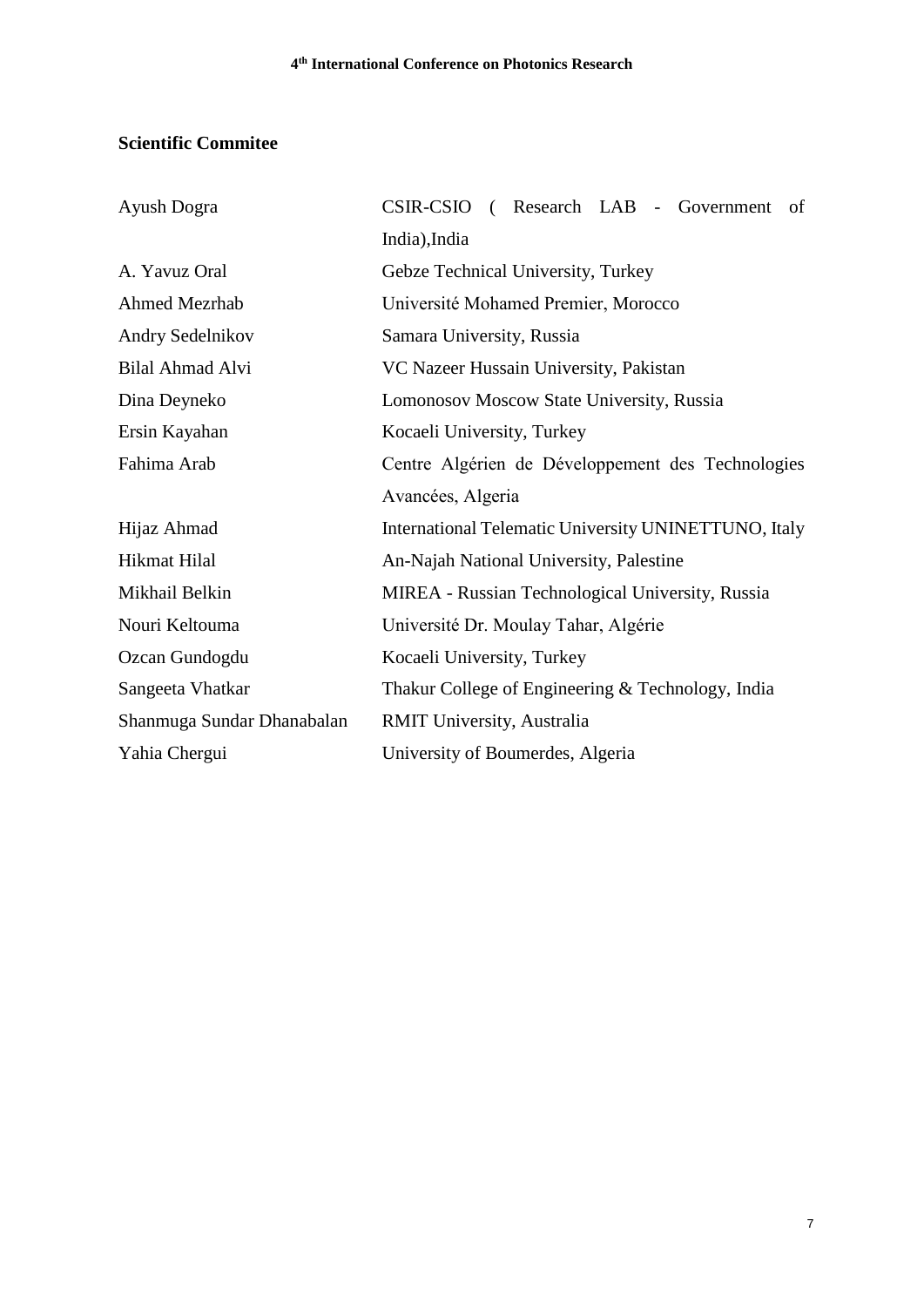## **Scientific Commitee**

| Ayush Dogra                | CSIR-CSIO (Research LAB - Government<br>of           |
|----------------------------|------------------------------------------------------|
|                            | India), India                                        |
| A. Yavuz Oral              | Gebze Technical University, Turkey                   |
| <b>Ahmed Mezrhab</b>       | Université Mohamed Premier, Morocco                  |
| Andry Sedelnikov           | Samara University, Russia                            |
| Bilal Ahmad Alvi           | VC Nazeer Hussain University, Pakistan               |
| Dina Deyneko               | Lomonosov Moscow State University, Russia            |
| Ersin Kayahan              | Kocaeli University, Turkey                           |
| Fahima Arab                | Centre Algérien de Développement des Technologies    |
|                            | Avancées, Algeria                                    |
| Hijaz Ahmad                | International Telematic University UNINETTUNO, Italy |
| Hikmat Hilal               | An-Najah National University, Palestine              |
| Mikhail Belkin             | MIREA - Russian Technological University, Russia     |
| Nouri Keltouma             | Université Dr. Moulay Tahar, Algérie                 |
| Ozcan Gundogdu             | Kocaeli University, Turkey                           |
| Sangeeta Vhatkar           | Thakur College of Engineering & Technology, India    |
| Shanmuga Sundar Dhanabalan | <b>RMIT University, Australia</b>                    |
| Yahia Chergui              | University of Boumerdes, Algeria                     |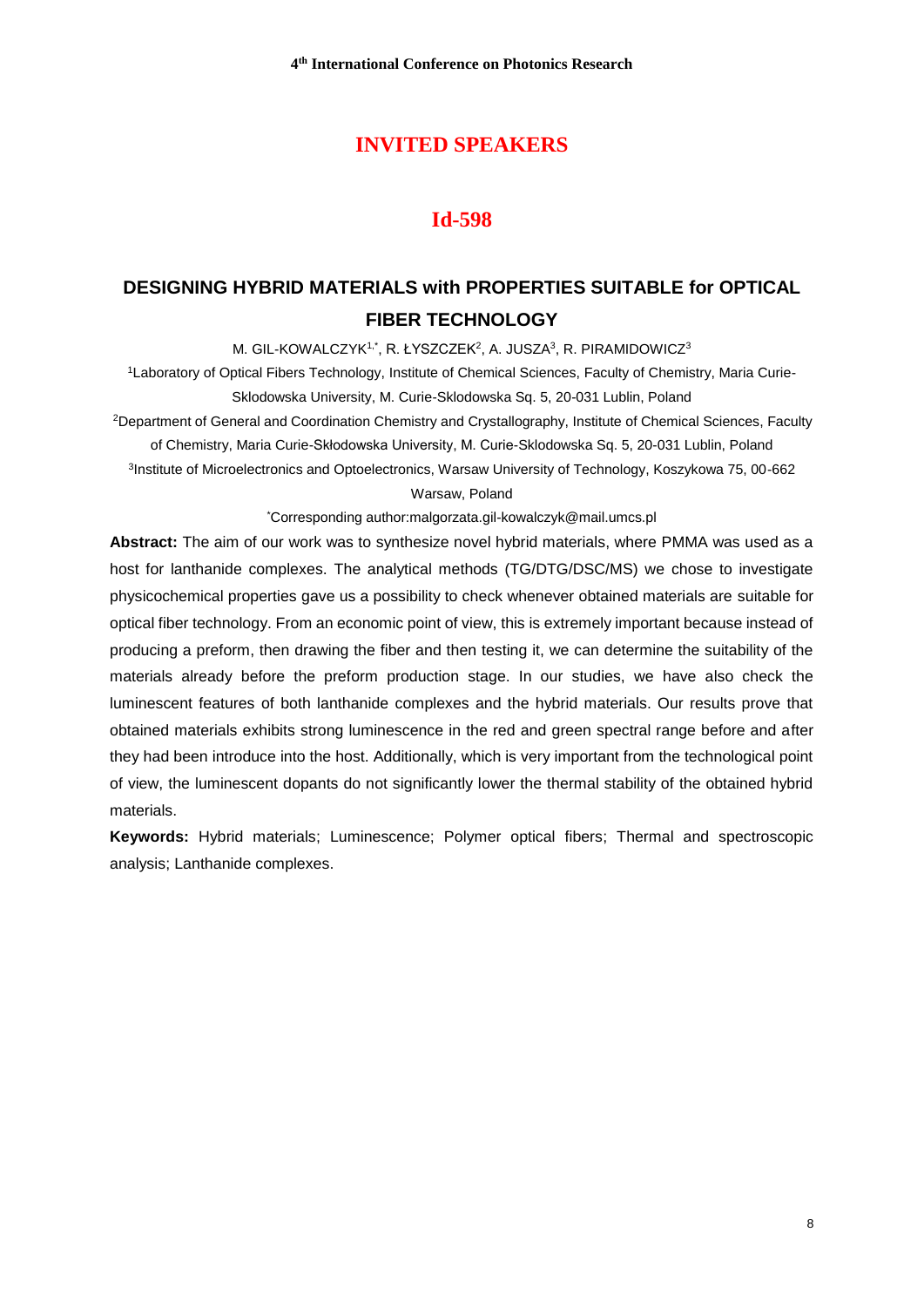## **INVITED SPEAKERS**

## **Id-598**

# **DESIGNING HYBRID MATERIALS with PROPERTIES SUITABLE for OPTICAL FIBER TECHNOLOGY**

M. GIL-KOWALCZYK1,\*, R. ŁYSZCZEK<sup>2</sup>, A. JUSZA<sup>3</sup>, R. PIRAMIDOWICZ<sup>3</sup>

1Laboratory of Optical Fibers Technology, Institute of Chemical Sciences, Faculty of Chemistry, Maria Curie-Sklodowska University, M. Curie-Sklodowska Sq. 5, 20-031 Lublin, Poland

<sup>2</sup>Department of General and Coordination Chemistry and Crystallography, Institute of Chemical Sciences, Faculty of Chemistry, Maria Curie-Skłodowska University, M. Curie-Sklodowska Sq. 5, 20-031 Lublin, Poland 3 Institute of Microelectronics and Optoelectronics, Warsaw University of Technology, Koszykowa 75, 00-662

Warsaw, Poland

\*Corresponding author:malgorzata.gil-kowalczyk@mail.umcs.pl

**Abstract:** The aim of our work was to synthesize novel hybrid materials, where PMMA was used as a host for lanthanide complexes. The analytical methods (TG/DTG/DSC/MS) we chose to investigate physicochemical properties gave us a possibility to check whenever obtained materials are suitable for optical fiber technology. From an economic point of view, this is extremely important because instead of producing a preform, then drawing the fiber and then testing it, we can determine the suitability of the materials already before the preform production stage. In our studies, we have also check the luminescent features of both lanthanide complexes and the hybrid materials. Our results prove that obtained materials exhibits strong luminescence in the red and green spectral range before and after they had been introduce into the host. Additionally, which is very important from the technological point of view, the luminescent dopants do not significantly lower the thermal stability of the obtained hybrid materials.

**Keywords:** Hybrid materials; Luminescence; Polymer optical fibers; Thermal and spectroscopic analysis; Lanthanide complexes.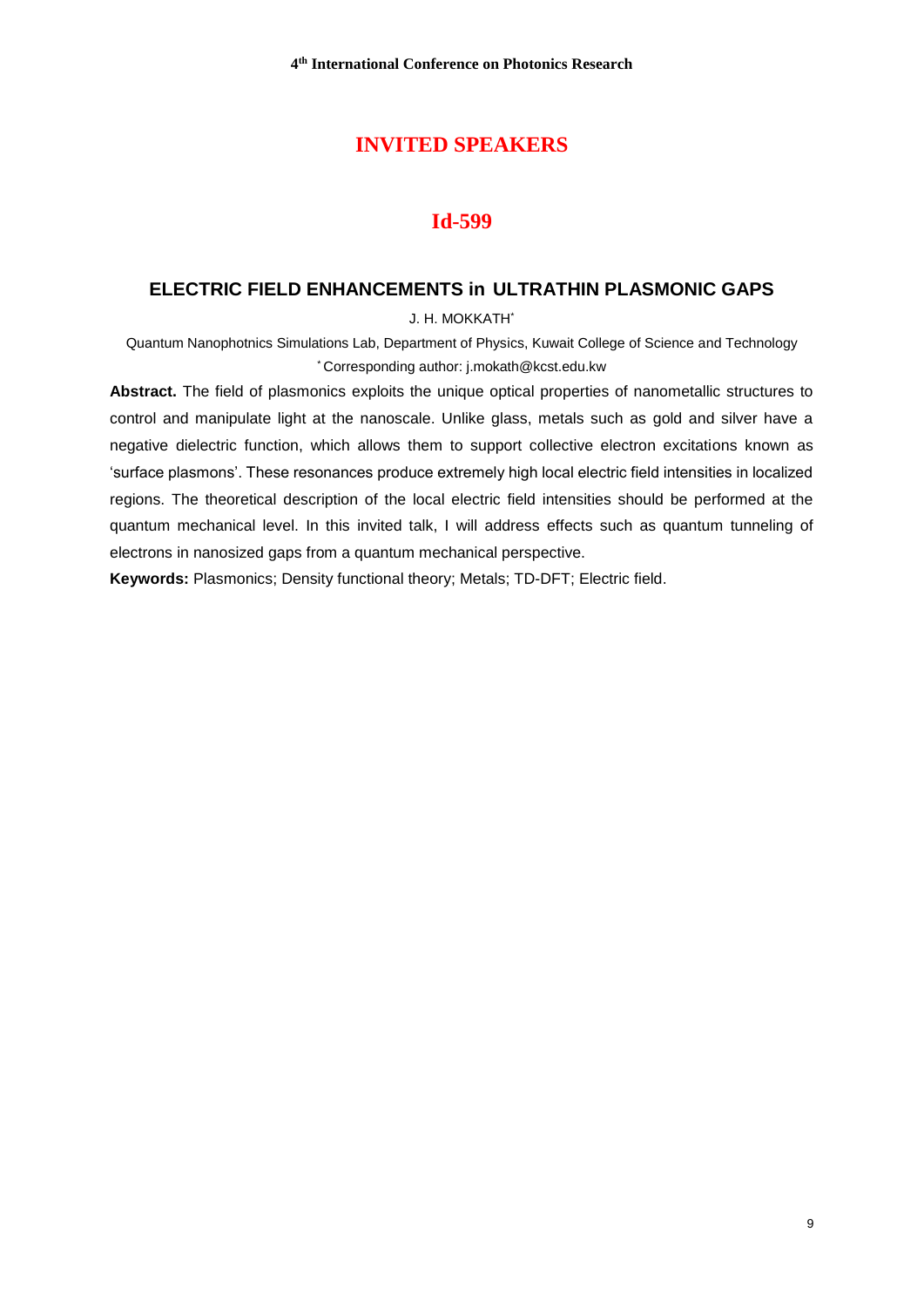## **INVITED SPEAKERS**

#### **Id-599**

#### **ELECTRIC FIELD ENHANCEMENTS in ULTRATHIN PLASMONIC GAPS**

J. H. MOKKATH\*

Quantum Nanophotnics Simulations Lab, Department of Physics, Kuwait College of Science and Technology \* Corresponding author: [j.mokath@kcst.edu.kw](mailto:j.mokath@kcst.edu.kw)

**Abstract.** The field of plasmonics exploits the unique optical properties of nanometallic structures to control and manipulate light at the nanoscale. Unlike glass, metals such as gold and silver have a negative dielectric function, which allows them to support collective electron excitations known as 'surface plasmons'. These resonances produce extremely high local electric field intensities in localized regions. The theoretical description of the local electric field intensities should be performed at the quantum mechanical level. In this invited talk, I will address effects such as quantum tunneling of electrons in nanosized gaps from a quantum mechanical perspective.

**Keywords:** Plasmonics; Density functional theory; Metals; TD-DFT; Electric field.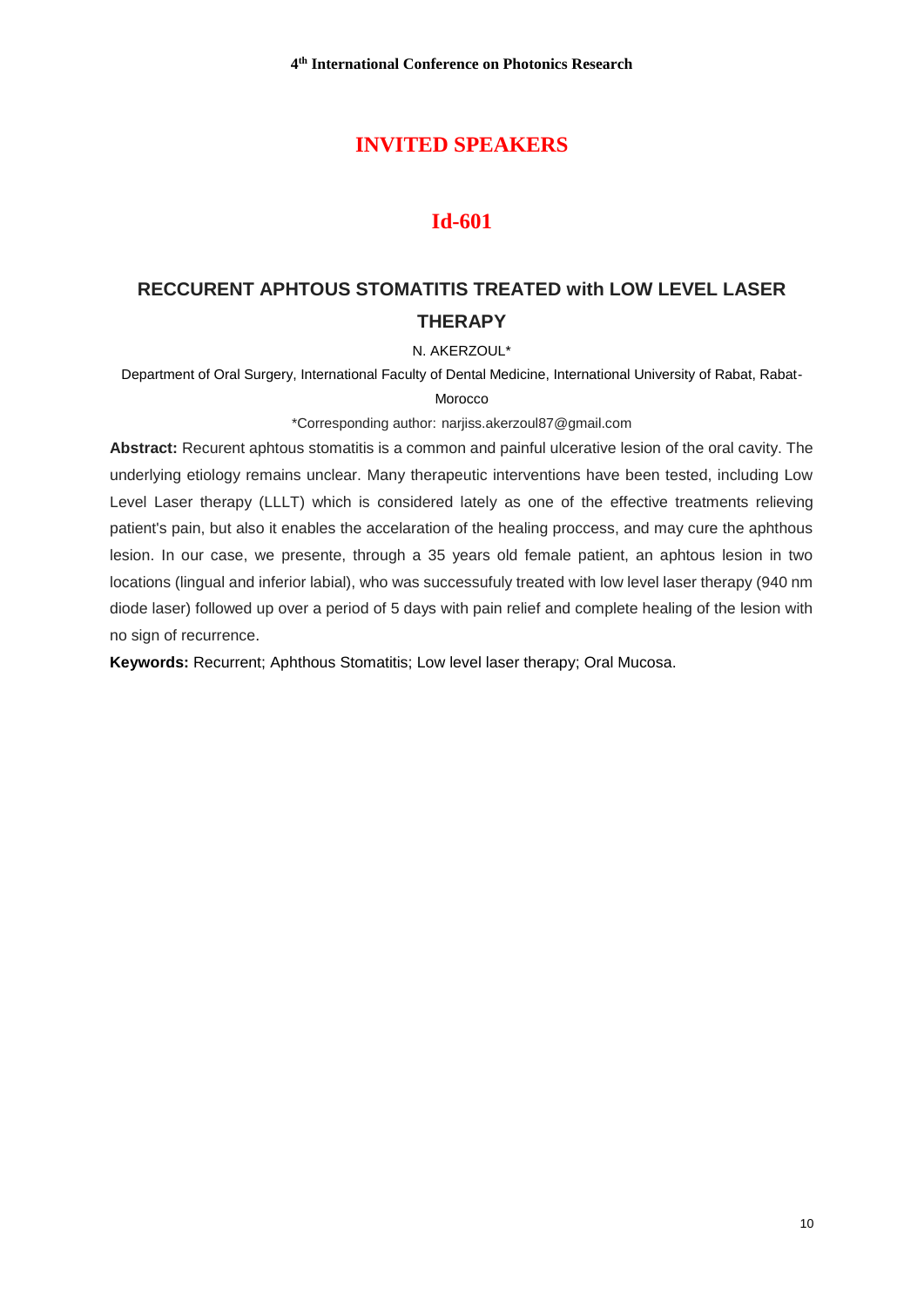## **INVITED SPEAKERS**

## **Id-601**

# **RECCURENT APHTOUS STOMATITIS TREATED with LOW LEVEL LASER THERAPY**

#### N. AKERZOUL\*

Department of Oral Surgery, International Faculty of Dental Medicine, International University of Rabat, Rabat-

#### Morocco

\*Corresponding author: narjiss.akerzoul87@gmail.com

**Abstract:** Recurent aphtous stomatitis is a common and painful ulcerative lesion of the oral cavity. The underlying etiology remains unclear. Many therapeutic interventions have been tested, including Low Level Laser therapy (LLLT) which is considered lately as one of the effective treatments relieving patient's pain, but also it enables the accelaration of the healing proccess, and may cure the aphthous lesion. In our case, we presente, through a 35 years old female patient, an aphtous lesion in two locations (lingual and inferior labial), who was successufuly treated with low level laser therapy (940 nm diode laser) followed up over a period of 5 days with pain relief and complete healing of the lesion with no sign of recurrence.

**Keywords:** Recurrent; Aphthous Stomatitis; Low level laser therapy; Oral Mucosa.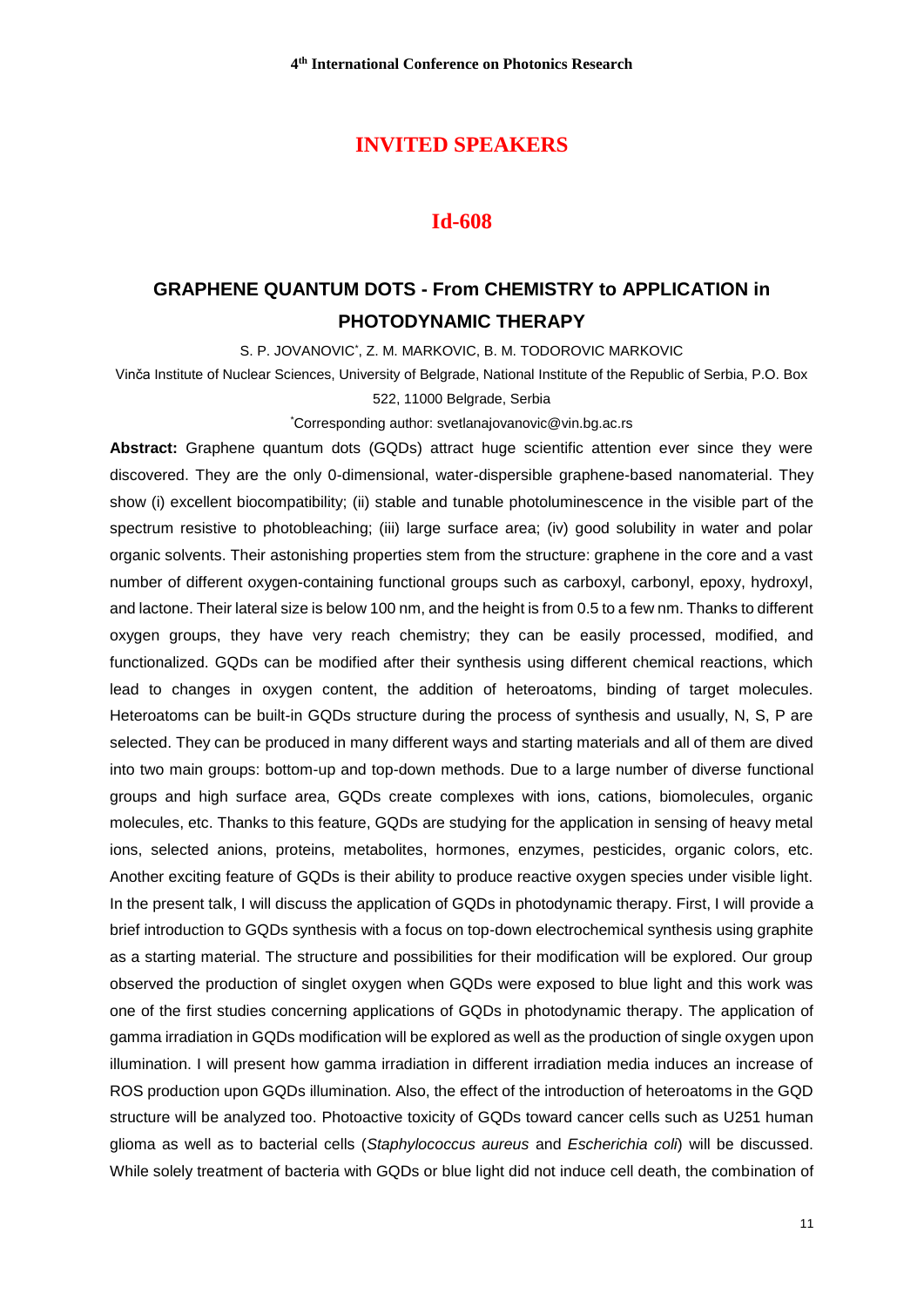### **INVITED SPEAKERS**

#### **Id-608**

# **GRAPHENE QUANTUM DOTS - From CHEMISTRY to APPLICATION in PHOTODYNAMIC THERAPY**

S. P. JOVANOVIC\* , Z. M. MARKOVIC, B. M. TODOROVIC MARKOVIC

Vinča Institute of Nuclear Sciences, University of Belgrade, National Institute of the Republic of Serbia, P.O. Box 522, 11000 Belgrade, Serbia

\*Corresponding author: svetlanajovanovic@vin.bg.ac.rs

**Abstract:** Graphene quantum dots (GQDs) attract huge scientific attention ever since they were discovered. They are the only 0-dimensional, water-dispersible graphene-based nanomaterial. They show (i) excellent biocompatibility; (ii) stable and tunable photoluminescence in the visible part of the spectrum resistive to photobleaching; (iii) large surface area; (iv) good solubility in water and polar organic solvents. Their astonishing properties stem from the structure: graphene in the core and a vast number of different oxygen-containing functional groups such as carboxyl, carbonyl, epoxy, hydroxyl, and lactone. Their lateral size is below 100 nm, and the height is from 0.5 to a few nm. Thanks to different oxygen groups, they have very reach chemistry; they can be easily processed, modified, and functionalized. GQDs can be modified after their synthesis using different chemical reactions, which lead to changes in oxygen content, the addition of heteroatoms, binding of target molecules. Heteroatoms can be built-in GQDs structure during the process of synthesis and usually, N, S, P are selected. They can be produced in many different ways and starting materials and all of them are dived into two main groups: bottom-up and top-down methods. Due to a large number of diverse functional groups and high surface area, GQDs create complexes with ions, cations, biomolecules, organic molecules, etc. Thanks to this feature, GQDs are studying for the application in sensing of heavy metal ions, selected anions, proteins, metabolites, hormones, enzymes, pesticides, organic colors, etc. Another exciting feature of GQDs is their ability to produce reactive oxygen species under visible light. In the present talk, I will discuss the application of GQDs in photodynamic therapy. First, I will provide a brief introduction to GQDs synthesis with a focus on top-down electrochemical synthesis using graphite as a starting material. The structure and possibilities for their modification will be explored. Our group observed the production of singlet oxygen when GQDs were exposed to blue light and this work was one of the first studies concerning applications of GQDs in photodynamic therapy. The application of gamma irradiation in GQDs modification will be explored as well as the production of single oxygen upon illumination. I will present how gamma irradiation in different irradiation media induces an increase of ROS production upon GQDs illumination. Also, the effect of the introduction of heteroatoms in the GQD structure will be analyzed too. Photoactive toxicity of GQDs toward cancer cells such as U251 human glioma as well as to bacterial cells (*Staphylococcus aureus* and *Escherichia coli*) will be discussed. While solely treatment of bacteria with GQDs or blue light did not induce cell death, the combination of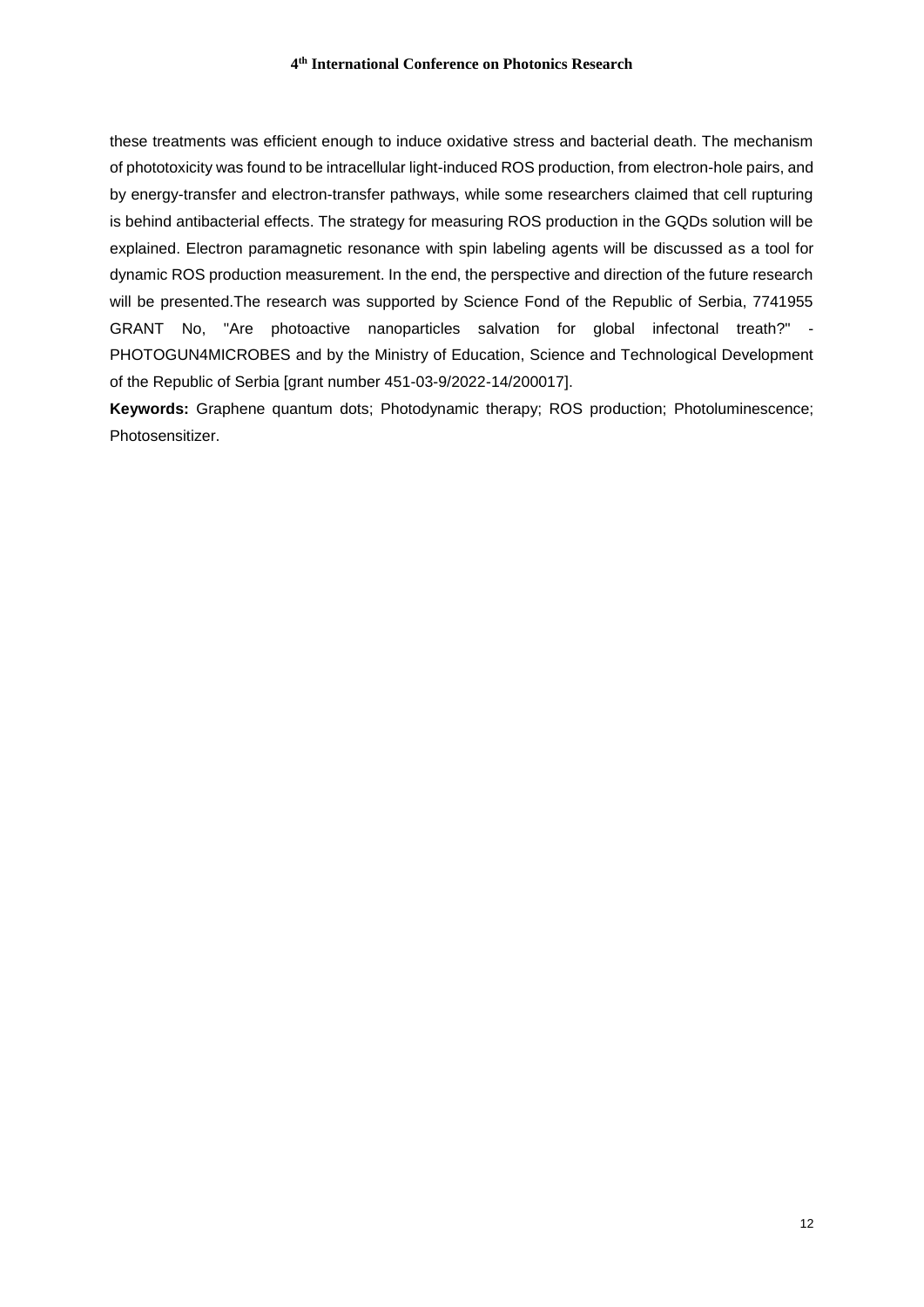these treatments was efficient enough to induce oxidative stress and bacterial death. The mechanism of phototoxicity was found to be intracellular light-induced ROS production, from electron-hole pairs, and by energy-transfer and electron-transfer pathways, while some researchers claimed that cell rupturing is behind antibacterial effects. The strategy for measuring ROS production in the GQDs solution will be explained. Electron paramagnetic resonance with spin labeling agents will be discussed as a tool for dynamic ROS production measurement. In the end, the perspective and direction of the future research will be presented. The research was supported by Science Fond of the Republic of Serbia, 7741955 GRANT No, "Are photoactive nanoparticles salvation for global infectonal treath?" - PHOTOGUN4MICROBES and by the Ministry of Education, Science and Technological Development of the Republic of Serbia [grant number 451-03-9/2022-14/200017].

**Keywords:** Graphene quantum dots; Photodynamic therapy; ROS production; Photoluminescence; Photosensitizer.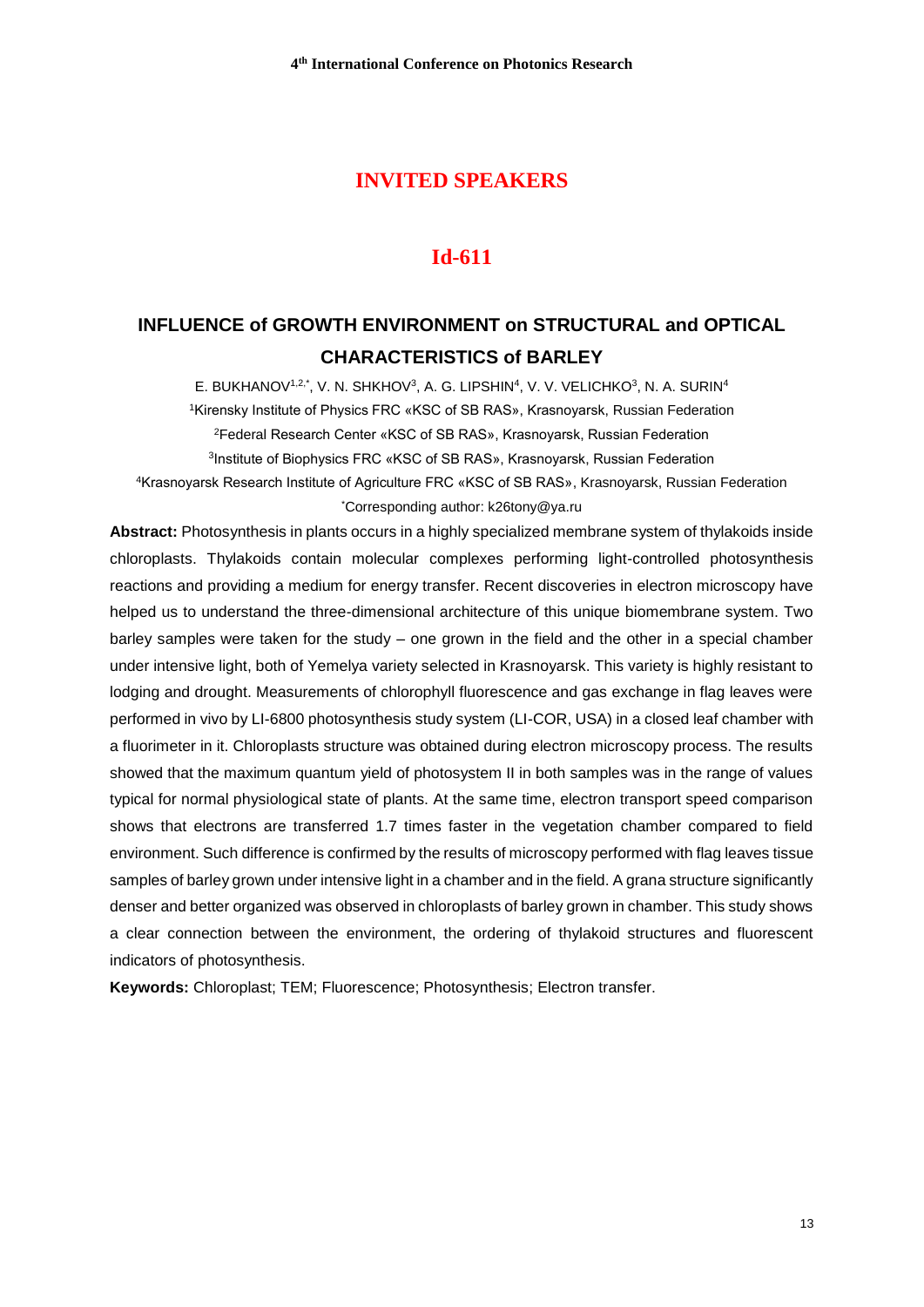## **INVITED SPEAKERS**

#### **Id-611**

## **INFLUENCE of GROWTH ENVIRONMENT on STRUCTURAL and OPTICAL CHARACTERISTICS of BARLEY**

E. BUKHANOV<sup>1,2,\*</sup>, V. N. SHKHOV<sup>3</sup>, A. G. LIPSHIN<sup>4</sup>, V. V. VELICHKO<sup>3</sup>, N. A. SURIN<sup>4</sup> Kirensky Institute of Physics FRC «KSC of SB RAS», Krasnoyarsk, Russian Federation Federal Research Center «KSC of SB RAS», Krasnoyarsk, Russian Federation Institute of Biophysics FRC «KSC of SB RAS», Krasnoyarsk, Russian Federation Krasnoyarsk Research Institute of Agriculture FRC «KSC of SB RAS», Krasnoyarsk, Russian Federation \*Corresponding author: k26tony@ya.ru

**Abstract:** Photosynthesis in plants occurs in a highly specialized membrane system of thylakoids inside chloroplasts. Thylakoids contain molecular complexes performing light-controlled photosynthesis reactions and providing a medium for energy transfer. Recent discoveries in electron microscopy have helped us to understand the three-dimensional architecture of this unique biomembrane system. Two barley samples were taken for the study – one grown in the field and the other in a special chamber under intensive light, both of Yemelya variety selected in Krasnoyarsk. This variety is highly resistant to lodging and drought. Measurements of chlorophyll fluorescence and gas exchange in flag leaves were performed in vivo by LI-6800 photosynthesis study system (LI-COR, USA) in a closed leaf chamber with a fluorimeter in it. Chloroplasts structure was obtained during electron microscopy process. The results showed that the maximum quantum yield of photosystem II in both samples was in the range of values typical for normal physiological state of plants. At the same time, electron transport speed comparison shows that electrons are transferred 1.7 times faster in the vegetation chamber compared to field environment. Such difference is confirmed by the results of microscopy performed with flag leaves tissue samples of barley grown under intensive light in a chamber and in the field. A grana structure significantly denser and better organized was observed in chloroplasts of barley grown in chamber. This study shows a clear connection between the environment, the ordering of thylakoid structures and fluorescent indicators of photosynthesis.

**Keywords:** Chloroplast; TEM; Fluorescence; Photosynthesis; Electron transfer.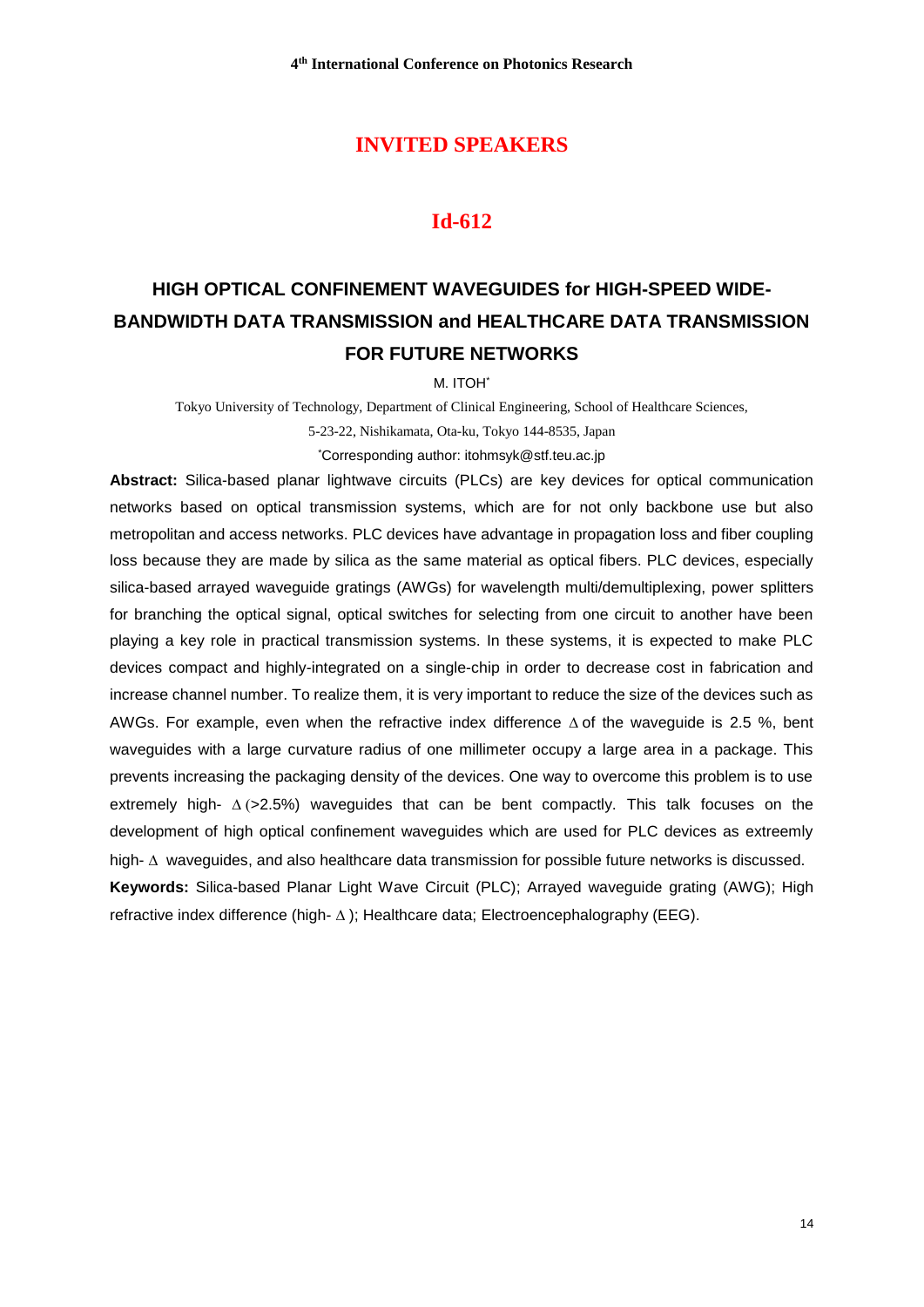### **INVITED SPEAKERS**

## **Id-612**

# **HIGH OPTICAL CONFINEMENT WAVEGUIDES for HIGH-SPEED WIDE-BANDWIDTH DATA TRANSMISSION and HEALTHCARE DATA TRANSMISSION FOR FUTURE NETWORKS**

M. ITOH\*

Tokyo University of Technology, Department of Clinical Engineering, School of Healthcare Sciences, 5-23-22, Nishikamata, Ota-ku, Tokyo 144-8535, Japan

\*Corresponding author: itohmsyk@stf.teu.ac.jp

**Abstract:** Silica-based planar lightwave circuits (PLCs) are key devices for optical communication networks based on optical transmission systems, which are for not only backbone use but also metropolitan and access networks. PLC devices have advantage in propagation loss and fiber coupling loss because they are made by silica as the same material as optical fibers. PLC devices, especially silica-based arrayed waveguide gratings (AWGs) for wavelength multi/demultiplexing, power splitters for branching the optical signal, optical switches for selecting from one circuit to another have been playing a key role in practical transmission systems. In these systems, it is expected to make PLC devices compact and highly-integrated on a single-chip in order to decrease cost in fabrication and increase channel number. To realize them, it is very important to reduce the size of the devices such as AWGs. For example, even when the refractive index difference  $\Delta$  of the waveguide is 2.5 %, bent waveguides with a large curvature radius of one millimeter occupy a large area in a package. This prevents increasing the packaging density of the devices. One way to overcome this problem is to use extremely high-  $\Delta$  (>2.5%) waveguides that can be bent compactly. This talk focuses on the development of high optical confinement waveguides which are used for PLC devices as extreemly high-  $\Delta$  waveguides, and also healthcare data transmission for possible future networks is discussed. **Keywords:** Silica-based Planar Light Wave Circuit (PLC); Arrayed waveguide grating (AWG); High refractive index difference (high- $\Delta$ ); Healthcare data; Electroencephalography (EEG).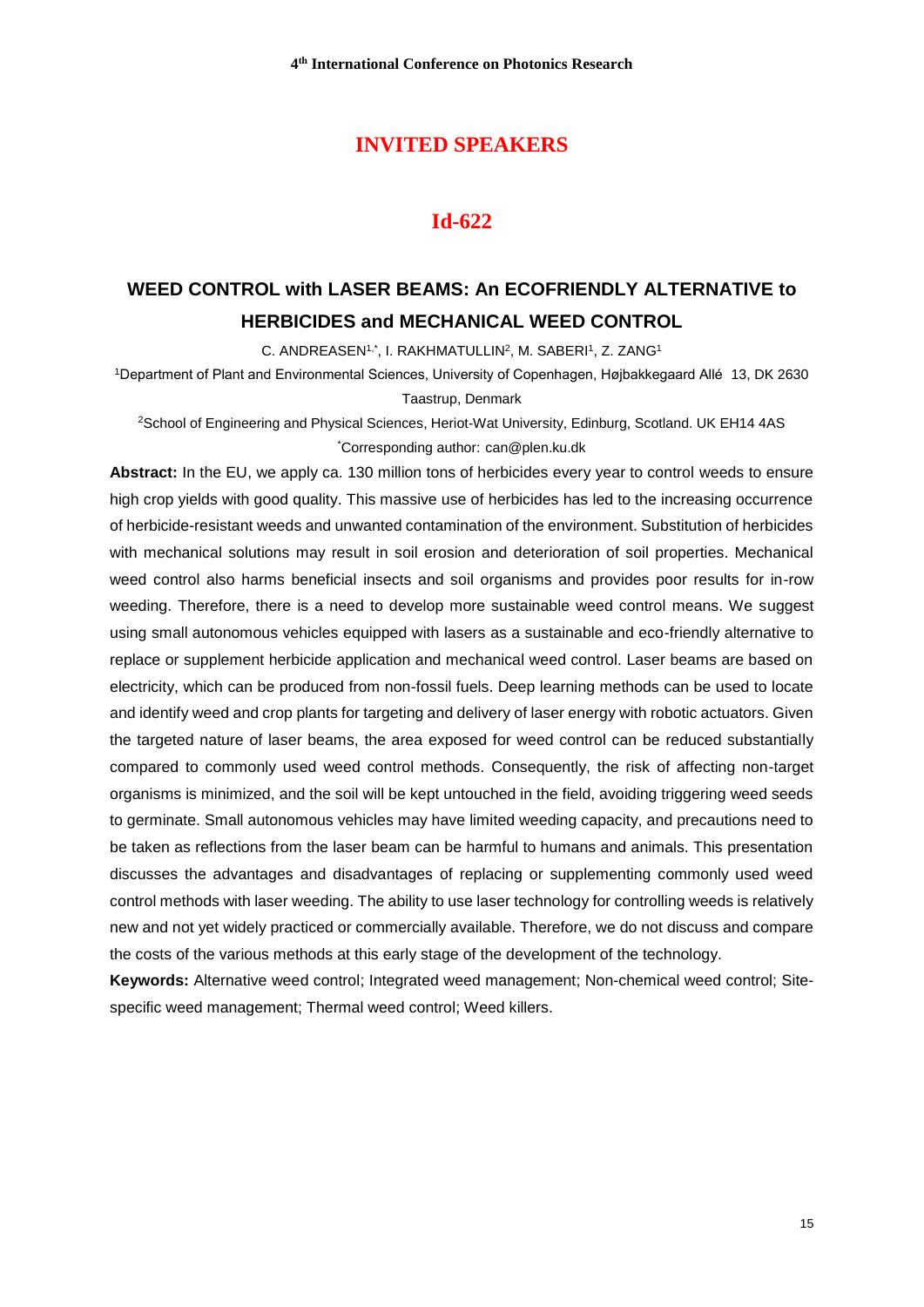## **INVITED SPEAKERS**

## **Id-622**

# **WEED CONTROL with LASER BEAMS: An ECOFRIENDLY ALTERNATIVE to HERBICIDES and MECHANICAL WEED CONTROL**

C. ANDREASEN<sup>1,\*</sup>, I. RAKHMATULLIN<sup>2</sup>, M. SABERI<sup>1</sup>, Z. ZANG<sup>1</sup>

<sup>1</sup>Department of Plant and Environmental Sciences, University of Copenhagen, Højbakkegaard Allé 13, DK 2630 Taastrup, Denmark

<sup>2</sup>School of Engineering and Physical Sciences, Heriot-Wat University, Edinburg, Scotland. UK EH14 4AS \*Corresponding author: can@plen.ku.dk

**Abstract:** In the EU, we apply ca. 130 million tons of herbicides every year to control weeds to ensure high crop yields with good quality. This massive use of herbicides has led to the increasing occurrence of herbicide-resistant weeds and unwanted contamination of the environment. Substitution of herbicides with mechanical solutions may result in soil erosion and deterioration of soil properties. Mechanical weed control also harms beneficial insects and soil organisms and provides poor results for in-row weeding. Therefore, there is a need to develop more sustainable weed control means. We suggest using small autonomous vehicles equipped with lasers as a sustainable and eco-friendly alternative to replace or supplement herbicide application and mechanical weed control. Laser beams are based on electricity, which can be produced from non-fossil fuels. Deep learning methods can be used to locate and identify weed and crop plants for targeting and delivery of laser energy with robotic actuators. Given the targeted nature of laser beams, the area exposed for weed control can be reduced substantially compared to commonly used weed control methods. Consequently, the risk of affecting non-target organisms is minimized, and the soil will be kept untouched in the field, avoiding triggering weed seeds to germinate. Small autonomous vehicles may have limited weeding capacity, and precautions need to be taken as reflections from the laser beam can be harmful to humans and animals. This presentation discusses the advantages and disadvantages of replacing or supplementing commonly used weed control methods with laser weeding. The ability to use laser technology for controlling weeds is relatively new and not yet widely practiced or commercially available. Therefore, we do not discuss and compare the costs of the various methods at this early stage of the development of the technology.

**Keywords:** Alternative weed control; Integrated weed management; Non-chemical weed control; Sitespecific weed management; Thermal weed control; Weed killers.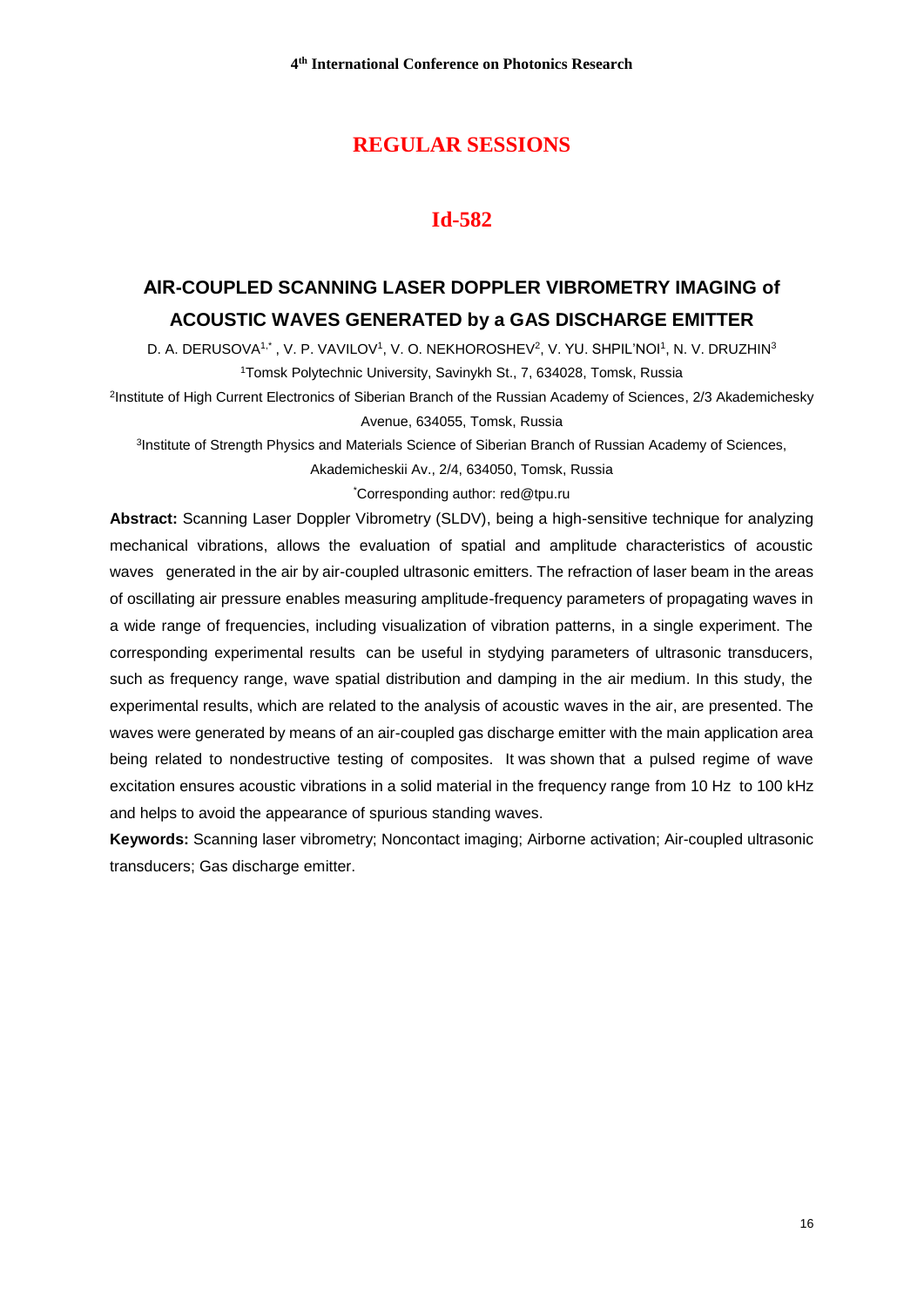## **REGULAR SESSIONS**

## **Id-582**

# **АIR-COUPLED SCANNING LASER DOPPLER VIBROMETRY IMAGING of ACOUSTIC WAVES GENERATED by a GAS DISCHARGE EMITTER**

D. A. DERUSOVA1<sup>,</sup>\* , V. P. VAVILOV1, V. O[. NEKHOROSHEV](https://www.scopus.com/authid/detail.uri?origin=resultslist&authorId=55457700900&zone=)<sup>2</sup>, V. YU. SHPIL'NOI1, N. V. DRUZHIN<sup>3</sup> <sup>1</sup>Tomsk Polytechnic University, Savinykh St., 7, 634028, Tomsk, Russia

2 [Institute of High Current Electronics of Siberian Branch of the Russian Academy of Sciences,](https://www.scopus.com/affil/profile.uri?afid=60069974) 2/3 Akademichesky Avenue, 634055, Tomsk, Russia

<sup>3</sup>Institute of Strength Physics and Materials Science of Siberian Branch of Russian Academy of Sciences,

Akademicheskii Av., 2/4, 634050, Tomsk, Russia

\*Corresponding author: red@tpu.ru

**Abstract:** Scanning Laser Doppler Vibrometry (SLDV), being a high-sensitive technique for analyzing mechanical vibrations, allows the evaluation of spatial and amplitude characteristics of acoustic waves generated in the air by air-coupled ultrasonic emitters. The refraction of laser beam in the areas of oscillating air pressure enables measuring amplitude-frequency parameters of propagating waves in a wide range of frequencies, including visualization of vibration patterns, in a single experiment. The corresponding experimental results can be useful in stydying parameters of ultrasonic transducers, such as frequency range, wave spatial distribution and damping in the air medium. In this study, the experimental results, which are related to the analysis of acoustic waves in the air, are presented. The waves were generated by means of an air-coupled gas discharge emitter with the main application area being related to nondestructive testing of composites. It was shown that a pulsed regime of wave excitation ensures acoustic vibrations in a solid material in the frequency range from 10 Hz to 100 kHz and helps to avoid the appearance of spurious standing waves.

**Keywords:** Scanning laser vibrometry; Noncontact imaging; Airborne activation; Air-coupled ultrasonic transducers; Gas discharge emitter.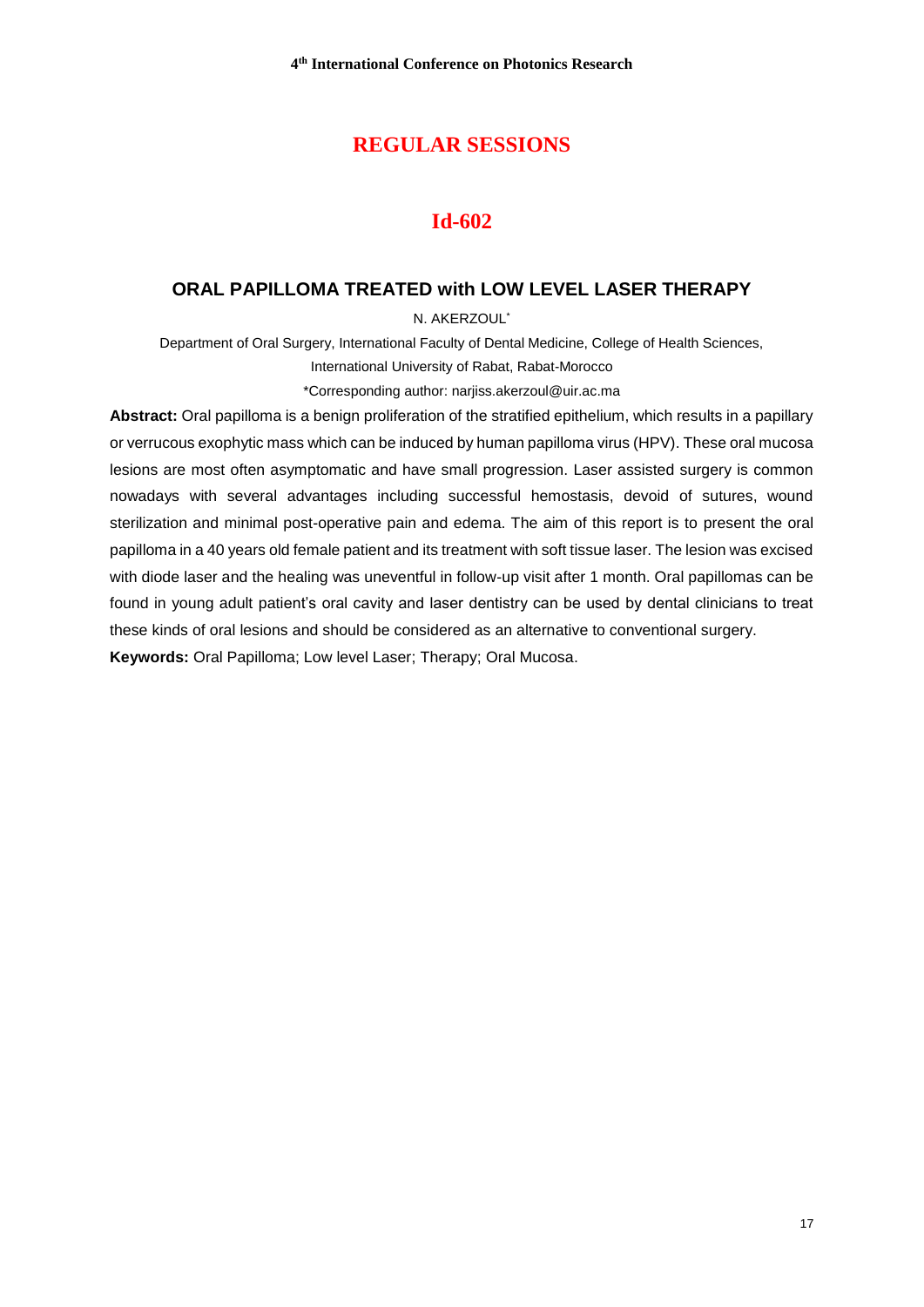## **REGULAR SESSIONS**

## **Id-602**

## **ORAL PAPILLOMA TREATED with LOW LEVEL LASER THERAPY**

N. AKERZOUL\*

Department of Oral Surgery, International Faculty of Dental Medicine, College of Health Sciences, International University of Rabat, Rabat-Morocco

\*Corresponding author: narjiss.akerzoul@uir.ac.ma

**Abstract:** Oral papilloma is a benign proliferation of the stratified epithelium, which results in a papillary or verrucous exophytic mass which can be induced by human papilloma virus (HPV). These oral mucosa lesions are most often asymptomatic and have small progression. Laser assisted surgery is common nowadays with several advantages including successful hemostasis, devoid of sutures, wound sterilization and minimal post-operative pain and edema. The aim of this report is to present the oral papilloma in a 40 years old female patient and its treatment with soft tissue laser. The lesion was excised with diode laser and the healing was uneventful in follow-up visit after 1 month. Oral papillomas can be found in young adult patient's oral cavity and laser dentistry can be used by dental clinicians to treat these kinds of oral lesions and should be considered as an alternative to conventional surgery. **Keywords:** Oral Papilloma; Low level Laser; Therapy; Oral Mucosa.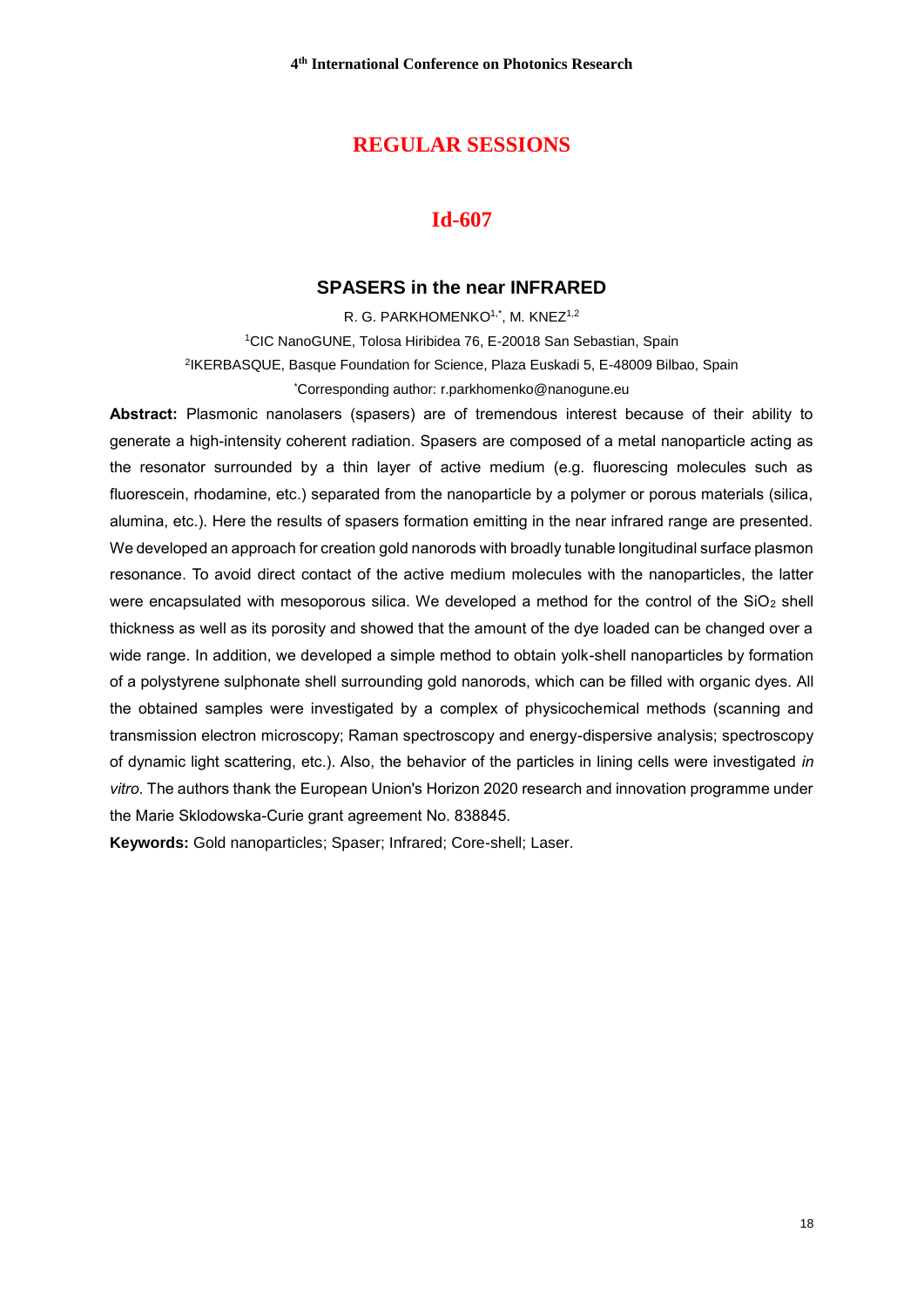## **REGULAR SESSIONS**

## **Id-607**

#### **SPASERS in the near INFRARED**

R. G. PARKHOMENKO1,\*, M. KNEZ1,2 <sup>1</sup>CIC NanoGUNE, Tolosa Hiribidea 76, E-20018 San Sebastian, Spain 2 IKERBASQUE, Basque Foundation for Science, Plaza Euskadi 5, E-48009 Bilbao, Spain \*Corresponding author: [r.parkhomenko@nanogune.eu](mailto:r.parkhomenko@nanogune.eu)

**Abstract:** Plasmonic nanolasers (spasers) are of tremendous interest because of their ability to generate a high-intensity coherent radiation. Spasers are composed of a metal nanoparticle acting as the resonator surrounded by a thin layer of active medium (e.g. fluorescing molecules such as fluorescein, rhodamine, etc.) separated from the nanoparticle by a polymer or porous materials (silica, alumina, etc.). Here the results of spasers formation emitting in the near infrared range are presented. We developed an approach for creation gold nanorods with broadly tunable longitudinal surface plasmon resonance. To avoid direct contact of the active medium molecules with the nanoparticles, the latter were encapsulated with mesoporous silica. We developed a method for the control of the SiO<sub>2</sub> shell thickness as well as its porosity and showed that the amount of the dye loaded can be changed over a wide range. In addition, we developed a simple method to obtain yolk-shell nanoparticles by formation of a polystyrene sulphonate shell surrounding gold nanorods, which can be filled with organic dyes. All the obtained samples were investigated by a complex of physicochemical methods (scanning and transmission electron microscopy; Raman spectroscopy and energy-dispersive analysis; spectroscopy of dynamic light scattering, etc.). Also, the behavior of the particles in lining cells were investigated *in vitro*. The authors thank the European Union's Horizon 2020 research and innovation programme under the Marie Sklodowska-Curie grant agreement No. 838845.

**Keywords:** Gold nanoparticles; Spaser; Infrared; Core-shell; Laser.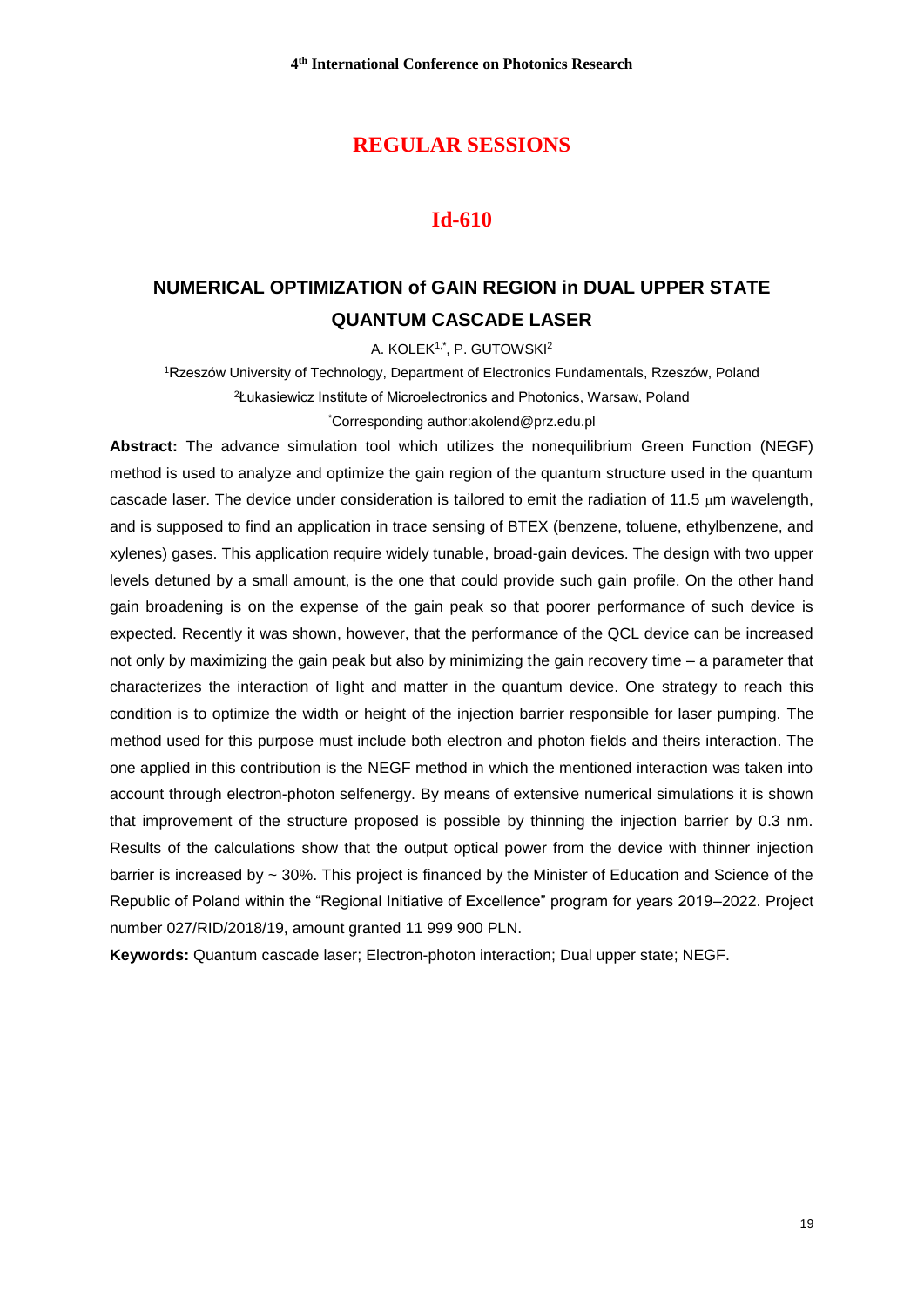## **REGULAR SESSIONS**

## **Id-610**

# **NUMERICAL OPTIMIZATION of GAIN REGION in DUAL UPPER STATE QUANTUM CASCADE LASER**

A. KOLEK1,\*, P. GUTOWSKI<sup>2</sup>

<sup>1</sup>Rzeszów University of Technology, Department of Electronics Fundamentals, Rzeszów, Poland <sup>2</sup>Łukasiewicz Institute of Microelectronics and Photonics, Warsaw, Poland \*Corresponding autho[r:akolend@prz.edu.pl](mailto:akolend@prz.edu.pl)

**Abstract:** The advance simulation tool which utilizes the nonequilibrium Green Function (NEGF) method is used to analyze and optimize the gain region of the quantum structure used in the quantum cascade laser. The device under consideration is tailored to emit the radiation of 11.5  $\mu$ m wavelength, and is supposed to find an application in trace sensing of BTEX (benzene, toluene, ethylbenzene, and xylenes) gases. This application require widely tunable, broad-gain devices. The design with two upper levels detuned by a small amount, is the one that could provide such gain profile. On the other hand gain broadening is on the expense of the gain peak so that poorer performance of such device is expected. Recently it was shown, however, that the performance of the QCL device can be increased not only by maximizing the gain peak but also by minimizing the gain recovery time – a parameter that characterizes the interaction of light and matter in the quantum device. One strategy to reach this condition is to optimize the width or height of the injection barrier responsible for laser pumping. The method used for this purpose must include both electron and photon fields and theirs interaction. The one applied in this contribution is the NEGF method in which the mentioned interaction was taken into account through electron-photon selfenergy. By means of extensive numerical simulations it is shown that improvement of the structure proposed is possible by thinning the injection barrier by 0.3 nm. Results of the calculations show that the output optical power from the device with thinner injection barrier is increased by ~ 30%. This project is financed by the Minister of Education and Science of the Republic of Poland within the "Regional Initiative of Excellence" program for years 2019–2022. Project number 027/RID/2018/19, amount granted 11 999 900 PLN.

**Keywords:** Quantum cascade laser; Electron-photon interaction; Dual upper state; NEGF.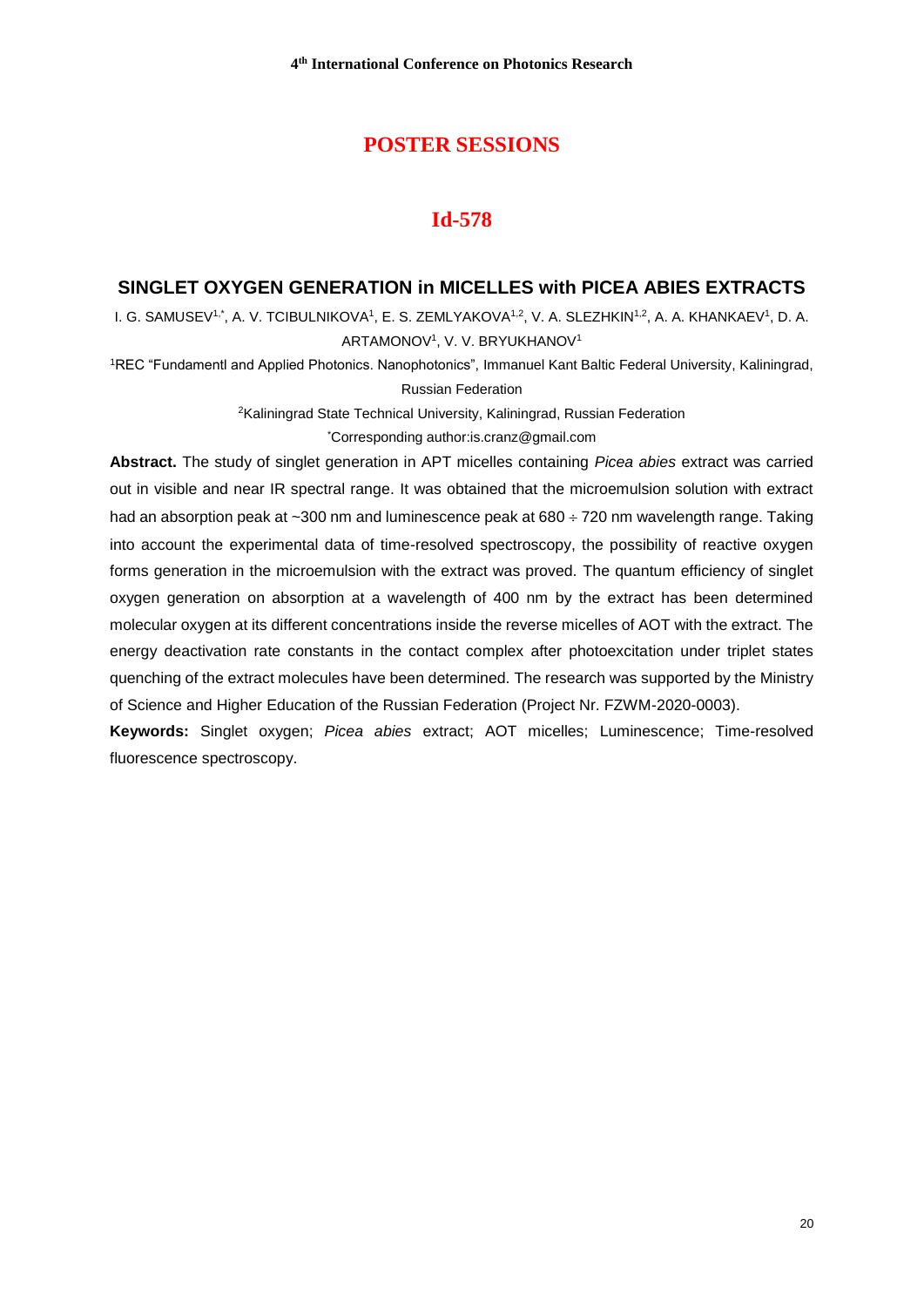## **POSTER SESSIONS**

## **Id-578**

#### **SINGLET OXYGEN GENERATION in MICELLES with PICEA ABIES EXTRACTS**

I. G. SAMUSEV1,\*, A. V. TCIBULNIKOVA1, E. S. ZEMLYAKOVA<sup>1,2</sup>, V. A. SLEZHKIN<sup>1,2</sup>, A. A. KHANKAEV<sup>1</sup>, D. A. ARTAMONOV<sup>1</sup>, V. V. BRYUKHANOV<sup>1</sup>

<sup>1</sup>REC "Fundamentl and Applied Photonics. Nanophotonics", Immanuel Kant Baltic Federal University, Kaliningrad, Russian Federation

<sup>2</sup>Kaliningrad State Technical University, Kaliningrad, Russian Federation

\*Corresponding author[:is.cranz@gmail.com](mailto:is.cranz@gmail.com)

**Abstract.** The study of singlet generation in APT micelles containing *Picea abies* extract was carried out in visible and near IR spectral range. It was obtained that the microemulsion solution with extract had an absorption peak at  $\sim$ 300 nm and luminescence peak at 680  $\div$  720 nm wavelength range. Taking into account the experimental data of time-resolved spectroscopy, the possibility of reactive oxygen forms generation in the microemulsion with the extract was proved. The quantum efficiency of singlet oxygen generation on absorption at a wavelength of 400 nm by the extract has been determined molecular oxygen at its different concentrations inside the reverse micelles of AOT with the extract. The energy deactivation rate constants in the contact complex after photoexcitation under triplet states quenching of the extract molecules have been determined. The research was supported by the Ministry of Science and Higher Education of the Russian Federation (Project Nr. FZWM-2020-0003).

**Keywords:** Singlet oxygen; *Picea abies* extract; AOT micelles; Luminescence; Time-resolved fluorescence spectroscopy.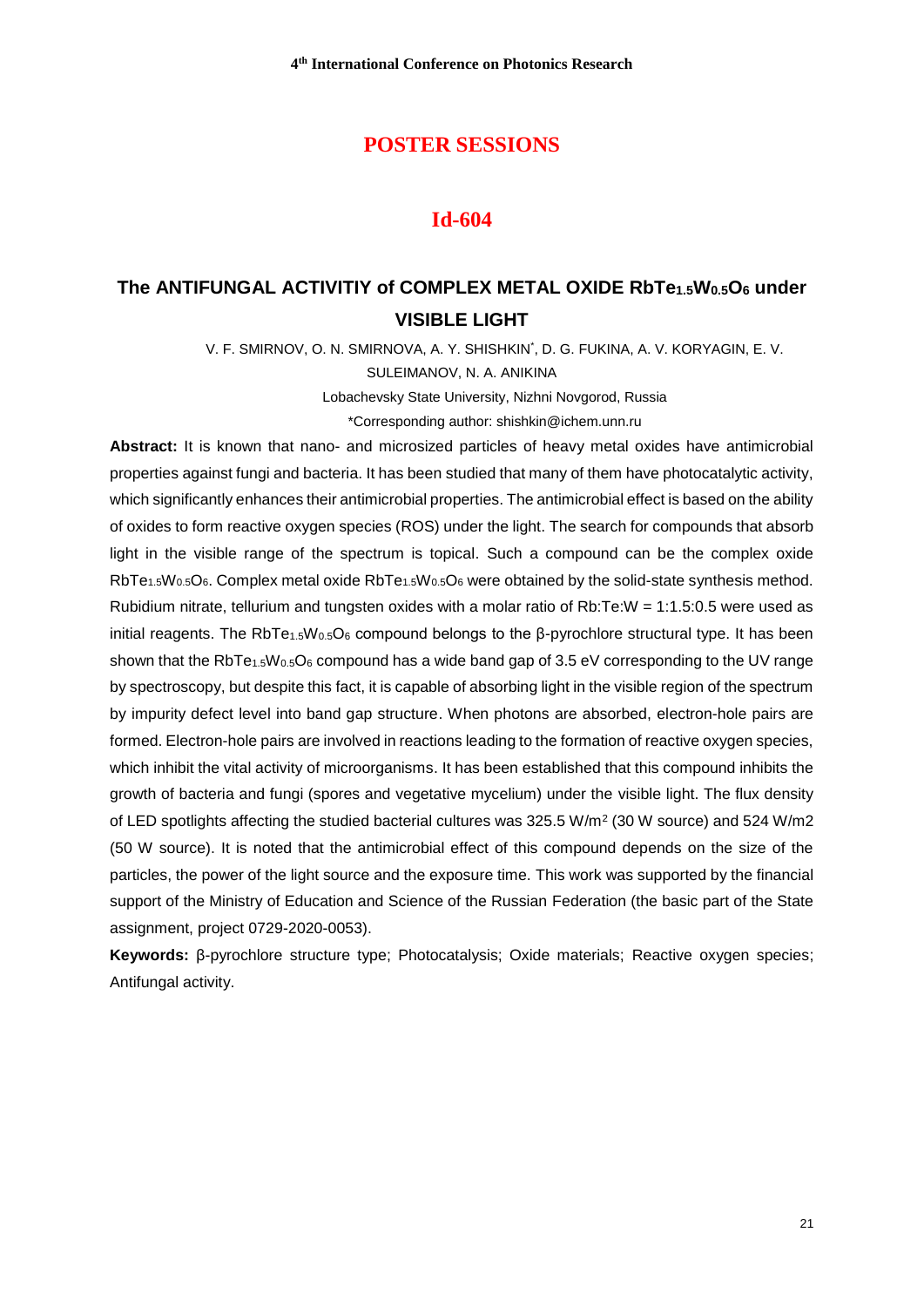#### **Id-604**

# **The ANTIFUNGAL ACTIVITIY of COMPLEX METAL OXIDE RbTe1.5W0.5O<sup>6</sup> under VISIBLE LIGHT**

V. F. SMIRNOV, O. N. SMIRNOVA, A. Y. SHISHKIN\* , D. G. FUKINA, A. V. KORYAGIN, E. V.

SULEIMANOV, N. A. ANIKINA

Lobachevsky State University, Nizhni Novgorod, Russia \*Corresponding author: [shishkin@ichem.unn.ru](mailto:shishkin@ichem.unn.ru)

**Abstract:** It is known that nano- and microsized particles of heavy metal oxides have antimicrobial properties against fungi and bacteria. It has been studied that many of them have photocatalytic activity, which significantly enhances their antimicrobial properties. The antimicrobial effect is based on the ability of oxides to form reactive oxygen species (ROS) under the light. The search for compounds that absorb light in the visible range of the spectrum is topical. Such a compound can be the complex oxide RbTe<sub>1.5</sub>W<sub>0.5</sub>O<sub>6</sub>. Complex metal oxide RbTe<sub>1.5</sub>W<sub>0.5</sub>O<sub>6</sub> were obtained by the solid-state synthesis method. Rubidium nitrate, tellurium and tungsten oxides with a molar ratio of Rb:Te:W = 1:1.5:0.5 were used as initial reagents. The RbTe<sub>1.5</sub>W<sub>0.5</sub>O<sub>6</sub> compound belongs to the β-pyrochlore structural type. It has been shown that the RbTe<sub>1.5</sub>W<sub>0.5</sub>O<sub>6</sub> compound has a wide band gap of 3.5 eV corresponding to the UV range by spectroscopy, but despite this fact, it is capable of absorbing light in the visible region of the spectrum by impurity defect level into band gap structure. When photons are absorbed, electron-hole pairs are formed. Electron-hole pairs are involved in reactions leading to the formation of reactive oxygen species, which inhibit the vital activity of microorganisms. It has been established that this compound inhibits the growth of bacteria and fungi (spores and vegetative mycelium) under the visible light. The flux density of LED spotlights affecting the studied bacterial cultures was 325.5 W/m<sup>2</sup> (30 W source) and 524 W/m2 (50 W source). It is noted that the antimicrobial effect of this compound depends on the size of the particles, the power of the light source and the exposure time. This work was supported by the financial support of the Ministry of Education and Science of the Russian Federation (the basic part of the State assignment, project 0729-2020-0053).

**Keywords:** β-pyrochlore structure type; Photocatalysis; Oxide materials; Reactive oxygen species; Antifungal activity.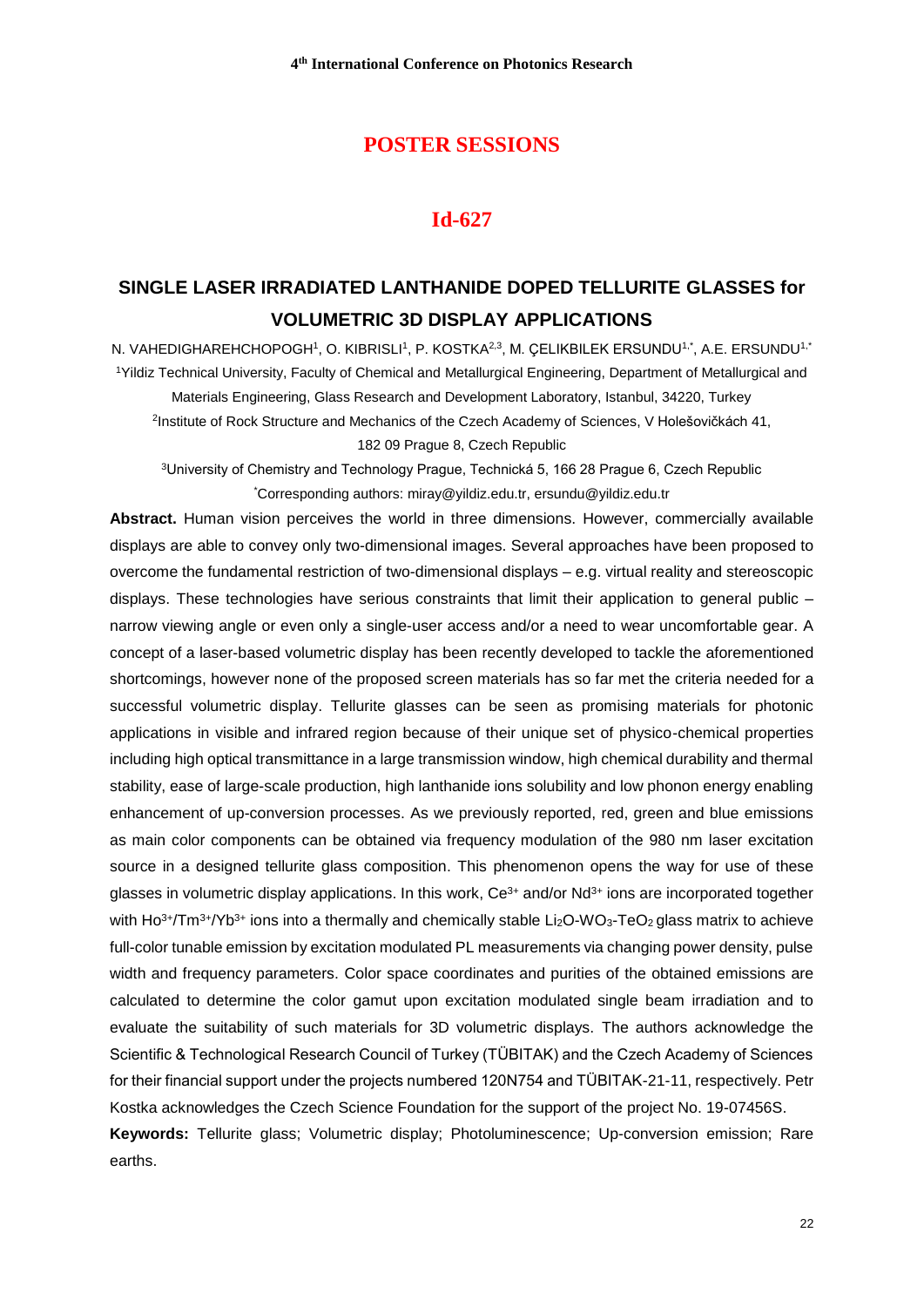#### **Id-627**

# **SINGLE LASER IRRADIATED LANTHANIDE DOPED TELLURITE GLASSES for VOLUMETRIC 3D DISPLAY APPLICATIONS**

N. VAHEDIGHAREHCHOPOGH<sup>1</sup>, O. KIBRISLI<sup>1</sup>, P. KOSTKA<sup>2,3</sup>, M. ÇELIKBILEK ERSUNDU<sup>1,\*</sup>, A.E. ERSUNDU<sup>1,\*</sup> <sup>1</sup>Yildiz Technical University, Faculty of Chemical and Metallurgical Engineering, Department of Metallurgical and Materials Engineering, Glass Research and Development Laboratory, Istanbul, 34220, Turkey <sup>2</sup>Institute of Rock Structure and Mechanics of the Czech Academy of Sciences, V Holešovičkách 41, 182 09 Prague 8, Czech Republic

<sup>3</sup>University of Chemistry and Technology Prague, Technická 5, 166 28 Prague 6, Czech Republic \*Corresponding authors: miray@yildiz.edu.tr, ersundu@yildiz.edu.tr

**Abstract.** Human vision perceives the world in three dimensions. However, commercially available displays are able to convey only two-dimensional images. Several approaches have been proposed to overcome the fundamental restriction of two-dimensional displays – e.g. virtual reality and stereoscopic displays. These technologies have serious constraints that limit their application to general public – narrow viewing angle or even only a single-user access and/or a need to wear uncomfortable gear. A concept of a laser-based volumetric display has been recently developed to tackle the aforementioned shortcomings, however none of the proposed screen materials has so far met the criteria needed for a successful volumetric display. Tellurite glasses can be seen as promising materials for photonic applications in visible and infrared region because of their unique set of physico-chemical properties including high optical transmittance in a large transmission window, high chemical durability and thermal stability, ease of large-scale production, high lanthanide ions solubility and low phonon energy enabling enhancement of up-conversion processes. As we previously reported, red, green and blue emissions as main color components can be obtained via frequency modulation of the 980 nm laser excitation source in a designed tellurite glass composition. This phenomenon opens the way for use of these glasses in volumetric display applications. In this work,  $Ce^{3+}$  and/or  $Nd^{3+}$  ions are incorporated together with  $Ho^{3+}/Tm^{3+}/Yb^{3+}$  ions into a thermally and chemically stable Li<sub>2</sub>O-WO<sub>3</sub>-TeO<sub>2</sub> glass matrix to achieve full-color tunable emission by excitation modulated PL measurements via changing power density, pulse width and frequency parameters. Color space coordinates and purities of the obtained emissions are calculated to determine the color gamut upon excitation modulated single beam irradiation and to evaluate the suitability of such materials for 3D volumetric displays. The authors acknowledge the Scientific & Technological Research Council of Turkey (TÜBITAK) and the Czech Academy of Sciences for their financial support under the projects numbered 120N754 and TÜBITAK-21-11, respectively. Petr Kostka acknowledges the Czech Science Foundation for the support of the project No. 19-07456S. **Keywords:** Tellurite glass; Volumetric display; Photoluminescence; Up-conversion emission; Rare earths.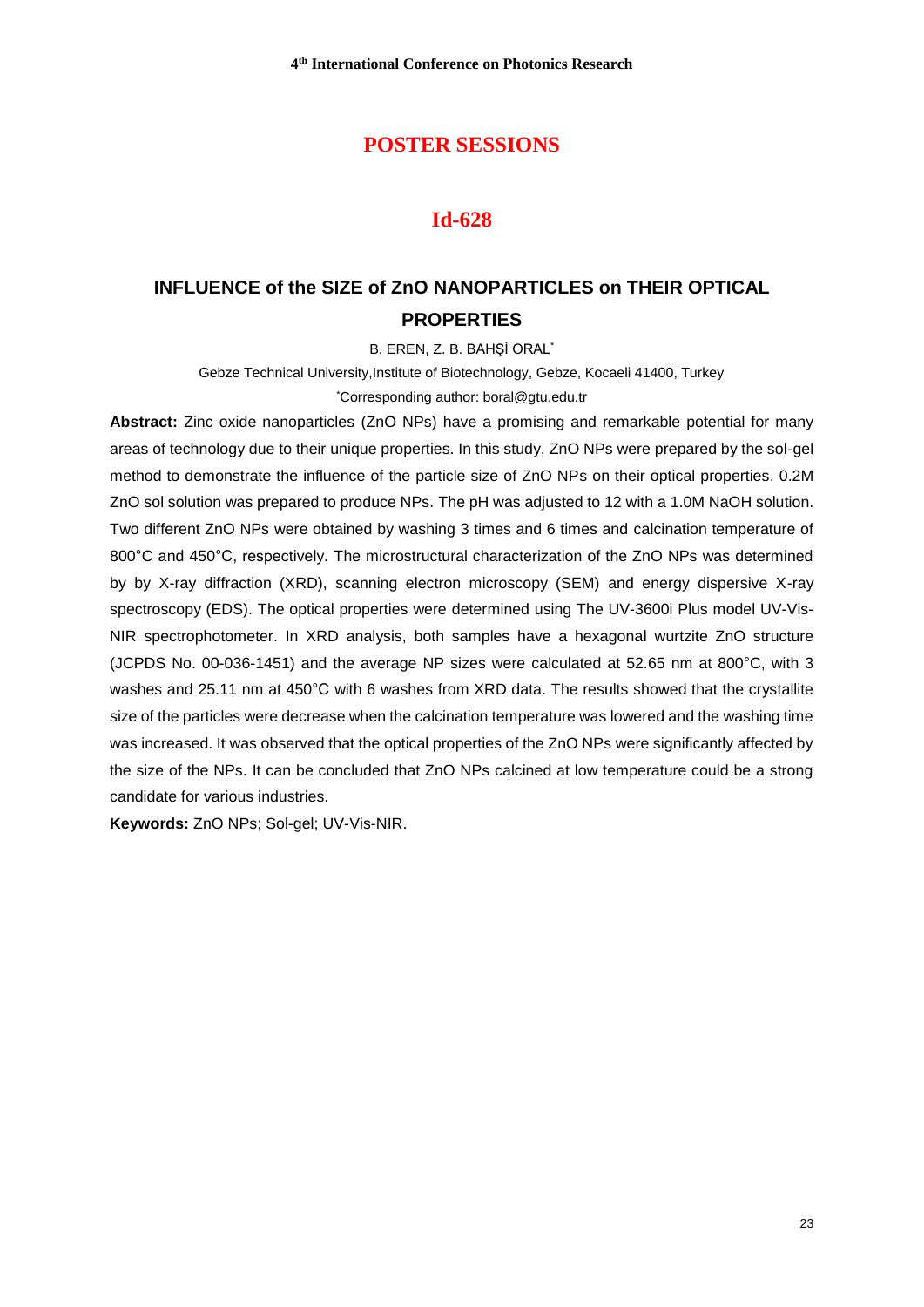#### **Id-628**

# **INFLUENCE of the SIZE of ZnO NANOPARTICLES on THEIR OPTICAL PROPERTIES**

B. EREN, Z. B. BAHŞİ ORAL\*

Gebze Technical University,Institute of Biotechnology, Gebze, Kocaeli 41400, Turkey \*Corresponding author: boral@gtu.edu.tr

**Abstract:** Zinc oxide nanoparticles (ZnO NPs) have a promising and remarkable potential for many areas of technology due to their unique properties. In this study, ZnO NPs were prepared by the sol-gel method to demonstrate the influence of the particle size of ZnO NPs on their optical properties. 0.2M ZnO sol solution was prepared to produce NPs. The pH was adjusted to 12 with a 1.0M NaOH solution. Two different ZnO NPs were obtained by washing 3 times and 6 times and calcination temperature of 800°C and 450°C, respectively. The microstructural characterization of the ZnO NPs was determined by by X-ray diffraction (XRD), scanning electron microscopy (SEM) and energy dispersive X-ray spectroscopy (EDS). The optical properties were determined using The UV-3600i Plus model UV-Vis-NIR spectrophotometer. In XRD analysis, both samples have a hexagonal wurtzite ZnO structure (JCPDS No. 00-036-1451) and the average NP sizes were calculated at 52.65 nm at 800°C, with 3 washes and 25.11 nm at 450°C with 6 washes from XRD data. The results showed that the crystallite size of the particles were decrease when the calcination temperature was lowered and the washing time was increased. It was observed that the optical properties of the ZnO NPs were significantly affected by the size of the NPs. It can be concluded that ZnO NPs calcined at low temperature could be a strong candidate for various industries.

**Keywords:** ZnO NPs; Sol-gel; UV-Vis-NIR.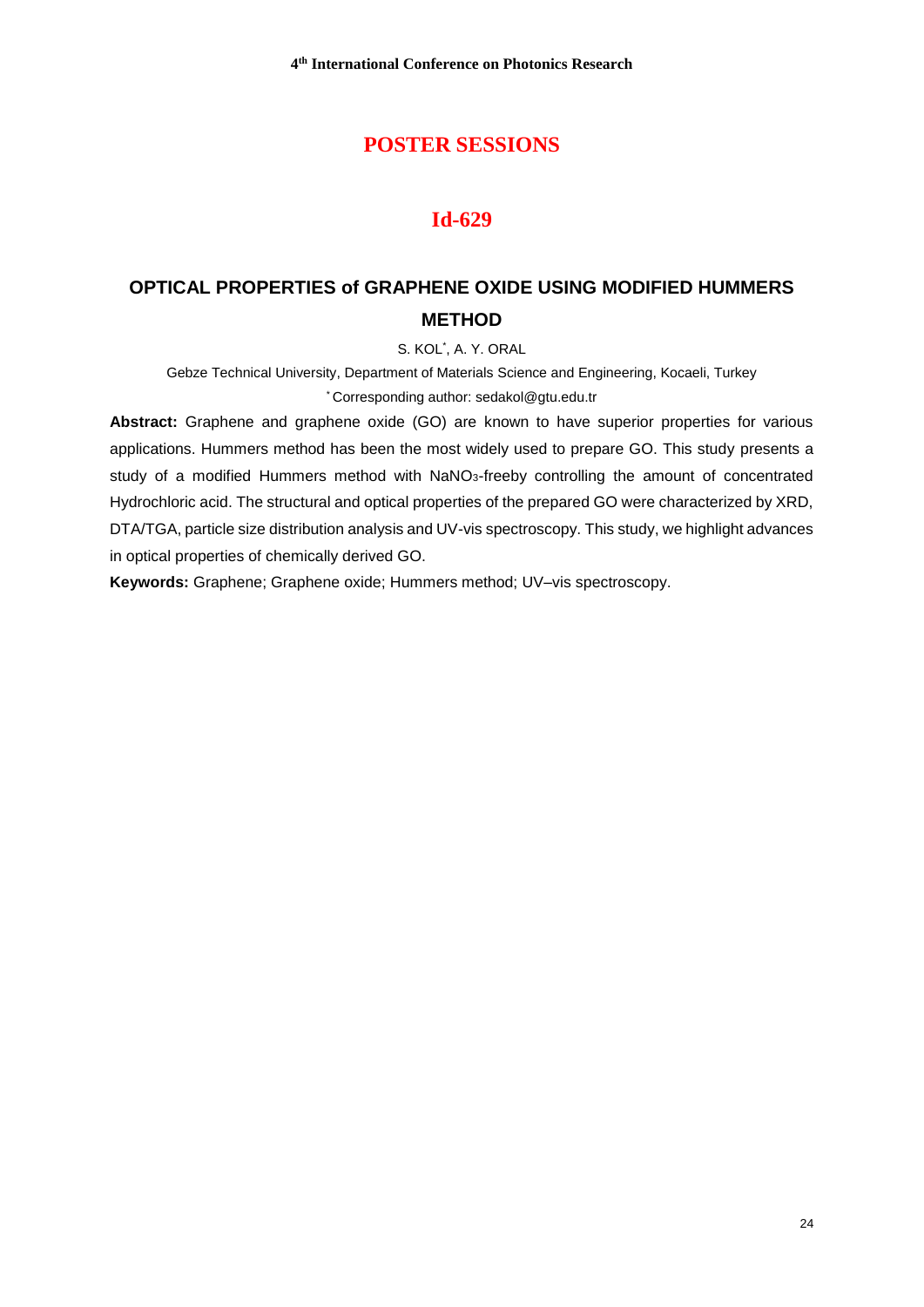## **Id-629**

# **OPTICAL PROPERTIES of GRAPHENE OXIDE USING MODIFIED HUMMERS METHOD**

S. KOL\* , A. Y. ORAL

Gebze Technical University, Department of Materials Science and Engineering, Kocaeli, Turkey \* Corresponding author[: sedakol@gtu.edu.tr](mailto:sedakol@gtu.edu.tr)

Abstract: Graphene and graphene oxide (GO) are known to have superior properties for various applications. Hummers method has been the most widely used to prepare GO. This study presents a study of a modified Hummers method with NaNO<sub>3</sub>-freeby controlling the amount of concentrated Hydrochloric acid. The structural and optical properties of the prepared GO were characterized by XRD, DTA/TGA, particle size distribution analysis and UV-vis spectroscopy. This study, we highlight advances in optical properties of chemically derived GO.

**Keywords:** Graphene; Graphene oxide; Hummers method; UV–vis spectroscopy.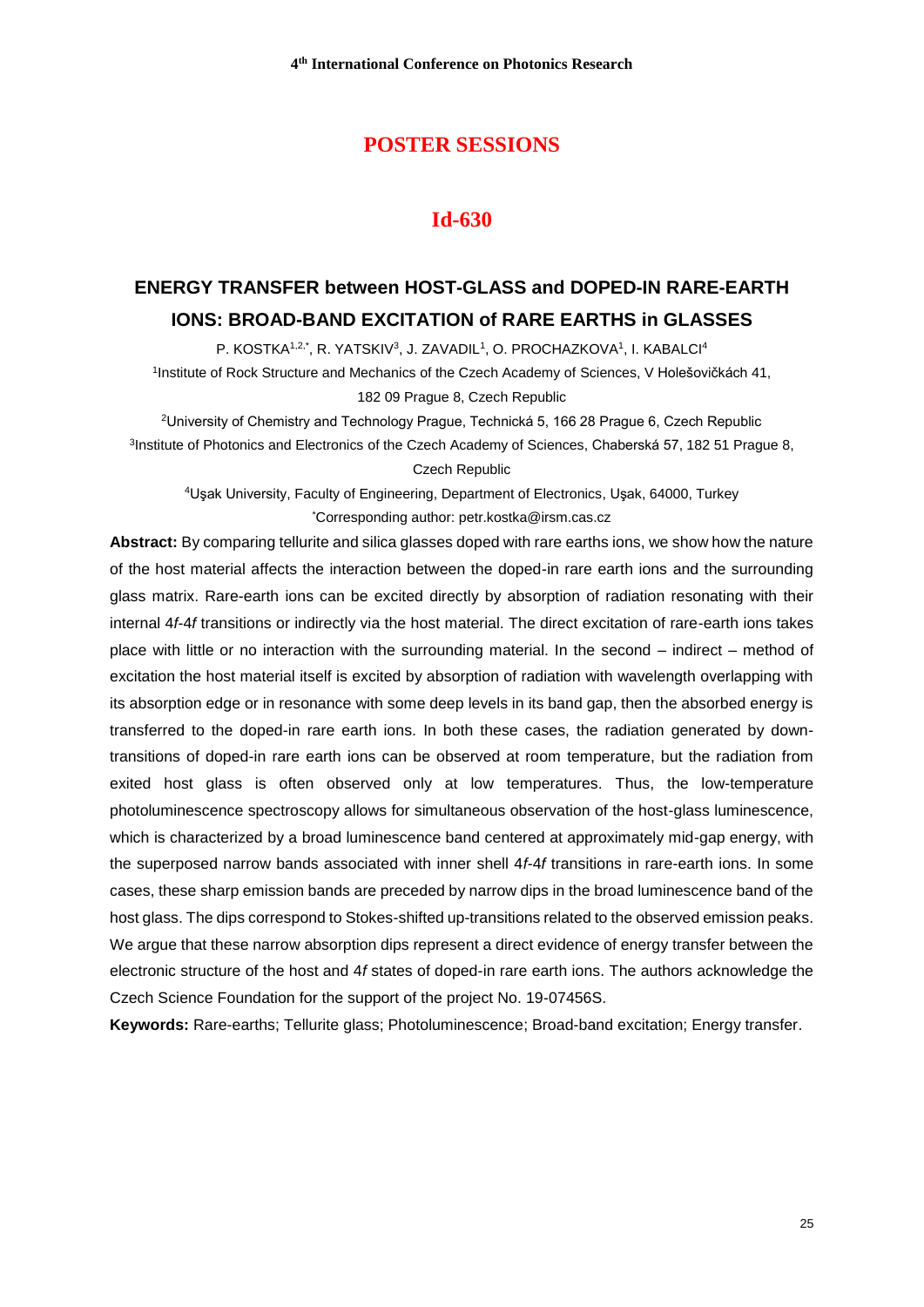## **POSTER SESSIONS**

## **Id-630**

# **ENERGY TRANSFER between HOST-GLASS and DOPED-IN RARE-EARTH IONS: BROAD-BAND EXCITATION of RARE EARTHS in GLASSES**

P. KOSTKA1,2,\*, R. YATSKIV3, J. ZAVADIL1, O. PROCHAZKOVA1, I. KABALCI4

1 Institute of Rock Structure and Mechanics of the Czech Academy of Sciences, V Holešovičkách 41, 182 09 Prague 8, Czech Republic

<sup>2</sup>University of Chemistry and Technology Prague, Technická 5, 166 28 Prague 6, Czech Republic <sup>3</sup>Institute of Photonics and Electronics of the Czech Academy of Sciences, Chaberská 57, 182 51 Prague 8, Czech Republic

<sup>4</sup>Uşak University, Faculty of Engineering, Department of Electronics, Uşak, 64000, Turkey \*Corresponding author: petr.kostka@irsm.cas.cz

**Abstract:** By comparing tellurite and silica glasses doped with rare earths ions, we show how the nature of the host material affects the interaction between the doped-in rare earth ions and the surrounding glass matrix. Rare-earth ions can be excited directly by absorption of radiation resonating with their internal 4*f*-4*f* transitions or indirectly via the host material. The direct excitation of rare-earth ions takes place with little or no interaction with the surrounding material. In the second – indirect – method of excitation the host material itself is excited by absorption of radiation with wavelength overlapping with its absorption edge or in resonance with some deep levels in its band gap, then the absorbed energy is transferred to the doped-in rare earth ions. In both these cases, the radiation generated by downtransitions of doped-in rare earth ions can be observed at room temperature, but the radiation from exited host glass is often observed only at low temperatures. Thus, the low-temperature photoluminescence spectroscopy allows for simultaneous observation of the host-glass luminescence, which is characterized by a broad luminescence band centered at approximately mid-gap energy, with the superposed narrow bands associated with inner shell 4*f*-4*f* transitions in rare-earth ions. In some cases, these sharp emission bands are preceded by narrow dips in the broad luminescence band of the host glass. The dips correspond to Stokes-shifted up-transitions related to the observed emission peaks. We argue that these narrow absorption dips represent a direct evidence of energy transfer between the electronic structure of the host and 4*f* states of doped-in rare earth ions. The authors acknowledge the Czech Science Foundation for the support of the project No. 19-07456S.

**Keywords:** Rare-earths; Tellurite glass; Photoluminescence; Broad-band excitation; Energy transfer.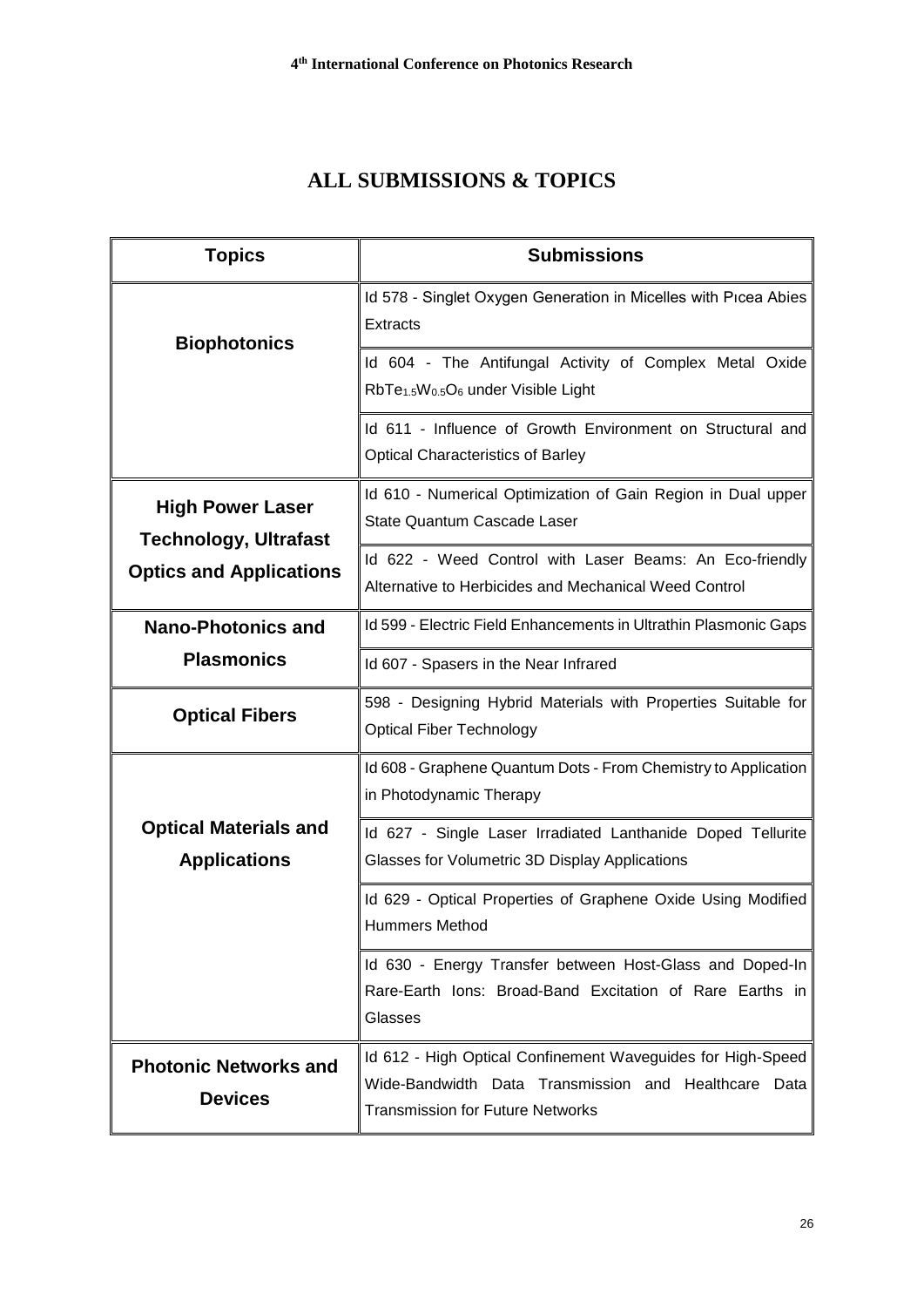# **ALL SUBMISSIONS & TOPICS**

| <b>Topics</b>                                           | <b>Submissions</b>                                                                                                                                             |
|---------------------------------------------------------|----------------------------------------------------------------------------------------------------------------------------------------------------------------|
| <b>Biophotonics</b>                                     | Id 578 - Singlet Oxygen Generation in Micelles with Picea Abies<br><b>Extracts</b>                                                                             |
|                                                         | Id 604 - The Antifungal Activity of Complex Metal Oxide<br>RbTe <sub>1.5</sub> W <sub>0.5</sub> O <sub>6</sub> under Visible Light                             |
|                                                         | Id 611 - Influence of Growth Environment on Structural and<br><b>Optical Characteristics of Barley</b>                                                         |
| <b>High Power Laser</b><br><b>Technology, Ultrafast</b> | Id 610 - Numerical Optimization of Gain Region in Dual upper<br>State Quantum Cascade Laser                                                                    |
| <b>Optics and Applications</b>                          | Id 622 - Weed Control with Laser Beams: An Eco-friendly<br>Alternative to Herbicides and Mechanical Weed Control                                               |
| <b>Nano-Photonics and</b>                               | Id 599 - Electric Field Enhancements in Ultrathin Plasmonic Gaps                                                                                               |
| <b>Plasmonics</b>                                       | Id 607 - Spasers in the Near Infrared                                                                                                                          |
| <b>Optical Fibers</b>                                   | 598 - Designing Hybrid Materials with Properties Suitable for<br><b>Optical Fiber Technology</b>                                                               |
|                                                         | Id 608 - Graphene Quantum Dots - From Chemistry to Application<br>in Photodynamic Therapy                                                                      |
| <b>Optical Materials and</b><br><b>Applications</b>     | Id 627 - Single Laser Irradiated Lanthanide Doped Tellurite<br>Glasses for Volumetric 3D Display Applications                                                  |
|                                                         | Id 629 - Optical Properties of Graphene Oxide Using Modified<br><b>Hummers Method</b>                                                                          |
|                                                         | Id 630 - Energy Transfer between Host-Glass and Doped-In<br>Rare-Earth Ions: Broad-Band Excitation of Rare Earths in<br>Glasses                                |
| <b>Photonic Networks and</b><br><b>Devices</b>          | Id 612 - High Optical Confinement Waveguides for High-Speed<br>Wide-Bandwidth Data Transmission and Healthcare Data<br><b>Transmission for Future Networks</b> |